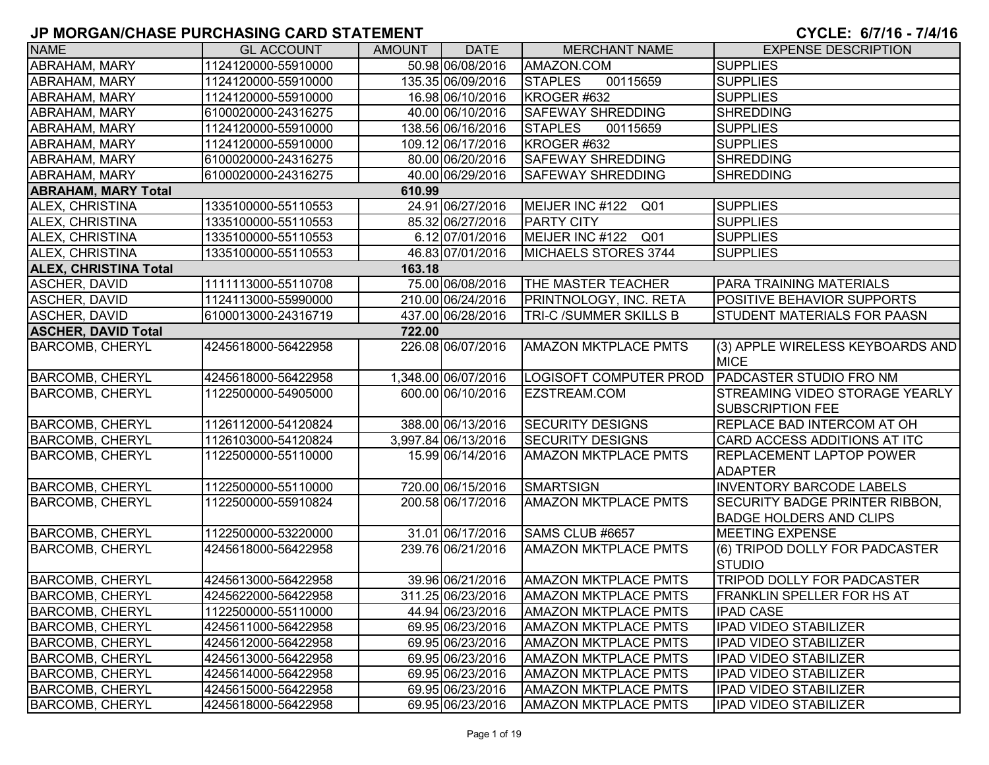| <b>NAME</b>                          | <b>GL ACCOUNT</b>   | <b>AMOUNT</b> | <b>DATE</b>         | <b>MERCHANT NAME</b>               | <b>EXPENSE DESCRIPTION</b>                        |  |  |
|--------------------------------------|---------------------|---------------|---------------------|------------------------------------|---------------------------------------------------|--|--|
| ABRAHAM, MARY                        | 1124120000-55910000 |               | 50.98 06/08/2016    | AMAZON.COM                         | <b>SUPPLIES</b>                                   |  |  |
| <b>ABRAHAM, MARY</b>                 | 1124120000-55910000 |               | 135.35 06/09/2016   | <b>STAPLES</b><br>00115659         | <b>SUPPLIES</b>                                   |  |  |
| <b>ABRAHAM, MARY</b>                 | 1124120000-55910000 |               | 16.98 06/10/2016    | KROGER #632                        | <b>SUPPLIES</b>                                   |  |  |
| <b>ABRAHAM, MARY</b>                 | 6100020000-24316275 |               | 40.00 06/10/2016    | <b>SAFEWAY SHREDDING</b>           | <b>SHREDDING</b>                                  |  |  |
| ABRAHAM, MARY                        | 1124120000-55910000 |               | 138.56 06/16/2016   | <b>STAPLES</b><br>00115659         | <b>SUPPLIES</b>                                   |  |  |
| <b>ABRAHAM, MARY</b>                 | 1124120000-55910000 |               | 109.12 06/17/2016   | KROGER #632                        | <b>SUPPLIES</b>                                   |  |  |
| <b>ABRAHAM, MARY</b>                 | 6100020000-24316275 |               | 80.00 06/20/2016    | <b>SAFEWAY SHREDDING</b>           | <b>SHREDDING</b>                                  |  |  |
| <b>ABRAHAM, MARY</b>                 | 6100020000-24316275 |               | 40.00 06/29/2016    | <b>SAFEWAY SHREDDING</b>           | SHREDDING                                         |  |  |
| <b>ABRAHAM, MARY Total</b><br>610.99 |                     |               |                     |                                    |                                                   |  |  |
| ALEX, CHRISTINA                      | 1335100000-55110553 |               | 24.91 06/27/2016    | MEIJER INC #122<br>Q <sub>01</sub> | <b>SUPPLIES</b>                                   |  |  |
| ALEX, CHRISTINA                      | 1335100000-55110553 |               | 85.32 06/27/2016    | <b>PARTY CITY</b>                  | <b>SUPPLIES</b>                                   |  |  |
| ALEX, CHRISTINA                      | 1335100000-55110553 |               | 6.12 07/01/2016     | MEIJER INC #122<br>Q01             | <b>SUPPLIES</b>                                   |  |  |
| ALEX, CHRISTINA                      | 1335100000-55110553 |               | 46.83 07/01/2016    | MICHAELS STORES 3744               | <b>SUPPLIES</b>                                   |  |  |
| <b>ALEX, CHRISTINA Total</b>         |                     | 163.18        |                     |                                    |                                                   |  |  |
| <b>ASCHER, DAVID</b>                 | 1111113000-55110708 |               | 75.00 06/08/2016    | <b>THE MASTER TEACHER</b>          | <b>PARA TRAINING MATERIALS</b>                    |  |  |
| <b>ASCHER, DAVID</b>                 | 1124113000-55990000 |               | 210.00 06/24/2016   | PRINTNOLOGY, INC. RETA             | <b>POSITIVE BEHAVIOR SUPPORTS</b>                 |  |  |
| <b>ASCHER, DAVID</b>                 | 6100013000-24316719 |               | 437.00 06/28/2016   | TRI-C /SUMMER SKILLS B             | <b>STUDENT MATERIALS FOR PAASN</b>                |  |  |
| <b>ASCHER, DAVID Total</b>           |                     | 722.00        |                     |                                    |                                                   |  |  |
| <b>BARCOMB, CHERYL</b>               | 4245618000-56422958 |               | 226.08 06/07/2016   | <b>AMAZON MKTPLACE PMTS</b>        | (3) APPLE WIRELESS KEYBOARDS AND<br><b>MICE</b>   |  |  |
| <b>BARCOMB, CHERYL</b>               | 4245618000-56422958 |               | 1,348.00 06/07/2016 | LOGISOFT COMPUTER PROD             | <b>PADCASTER STUDIO FRO NM</b>                    |  |  |
| <b>BARCOMB, CHERYL</b>               | 1122500000-54905000 |               | 600.00 06/10/2016   | EZSTREAM.COM                       | STREAMING VIDEO STORAGE YEARLY                    |  |  |
|                                      |                     |               |                     |                                    | <b>SUBSCRIPTION FEE</b>                           |  |  |
| <b>BARCOMB, CHERYL</b>               | 1126112000-54120824 |               | 388.00 06/13/2016   | <b>SECURITY DESIGNS</b>            | <b>REPLACE BAD INTERCOM AT OH</b>                 |  |  |
| <b>BARCOMB, CHERYL</b>               | 1126103000-54120824 |               | 3,997.84 06/13/2016 | <b>SECURITY DESIGNS</b>            | <b>CARD ACCESS ADDITIONS AT ITC</b>               |  |  |
| <b>BARCOMB, CHERYL</b>               | 1122500000-55110000 |               | 15.99 06/14/2016    | <b>AMAZON MKTPLACE PMTS</b>        | <b>REPLACEMENT LAPTOP POWER</b><br><b>ADAPTER</b> |  |  |
| <b>BARCOMB, CHERYL</b>               | 1122500000-55110000 |               | 720.00 06/15/2016   | <b>SMARTSIGN</b>                   | <b>INVENTORY BARCODE LABELS</b>                   |  |  |
| <b>BARCOMB, CHERYL</b>               | 1122500000-55910824 |               | 200.58 06/17/2016   | <b>AMAZON MKTPLACE PMTS</b>        | <b>SECURITY BADGE PRINTER RIBBON,</b>             |  |  |
|                                      |                     |               |                     |                                    | <b>BADGE HOLDERS AND CLIPS</b>                    |  |  |
| <b>BARCOMB, CHERYL</b>               | 1122500000-53220000 |               | 31.01 06/17/2016    | SAMS CLUB #6657                    | <b>MEETING EXPENSE</b>                            |  |  |
| <b>BARCOMB, CHERYL</b>               | 4245618000-56422958 |               | 239.76 06/21/2016   | <b>AMAZON MKTPLACE PMTS</b>        | (6) TRIPOD DOLLY FOR PADCASTER<br><b>STUDIO</b>   |  |  |
| <b>BARCOMB, CHERYL</b>               | 4245613000-56422958 |               | 39.96 06/21/2016    | <b>AMAZON MKTPLACE PMTS</b>        | TRIPOD DOLLY FOR PADCASTER                        |  |  |
| <b>BARCOMB, CHERYL</b>               | 4245622000-56422958 |               | 311.25 06/23/2016   | <b>AMAZON MKTPLACE PMTS</b>        | FRANKLIN SPELLER FOR HS AT                        |  |  |
| <b>BARCOMB, CHERYL</b>               | 1122500000-55110000 |               | 44.94 06/23/2016    | <b>AMAZON MKTPLACE PMTS</b>        | <b>IPAD CASE</b>                                  |  |  |
| <b>BARCOMB, CHERYL</b>               | 4245611000-56422958 |               | 69.95 06/23/2016    | <b>AMAZON MKTPLACE PMTS</b>        | <b>IPAD VIDEO STABILIZER</b>                      |  |  |
| <b>BARCOMB, CHERYL</b>               | 4245612000-56422958 |               | 69.95 06/23/2016    | <b>AMAZON MKTPLACE PMTS</b>        | IPAD VIDEO STABILIZER                             |  |  |
| <b>BARCOMB, CHERYL</b>               | 4245613000-56422958 |               | 69.95 06/23/2016    | <b>AMAZON MKTPLACE PMTS</b>        | IPAD VIDEO STABILIZER                             |  |  |
| <b>BARCOMB, CHERYL</b>               | 4245614000-56422958 |               | 69.95 06/23/2016    | <b>AMAZON MKTPLACE PMTS</b>        | <b>IPAD VIDEO STABILIZER</b>                      |  |  |
| <b>BARCOMB, CHERYL</b>               | 4245615000-56422958 |               | 69.95 06/23/2016    | <b>AMAZON MKTPLACE PMTS</b>        | <b>IPAD VIDEO STABILIZER</b>                      |  |  |
| <b>BARCOMB, CHERYL</b>               | 4245618000-56422958 |               | 69.95 06/23/2016    | <b>AMAZON MKTPLACE PMTS</b>        | <b>IPAD VIDEO STABILIZER</b>                      |  |  |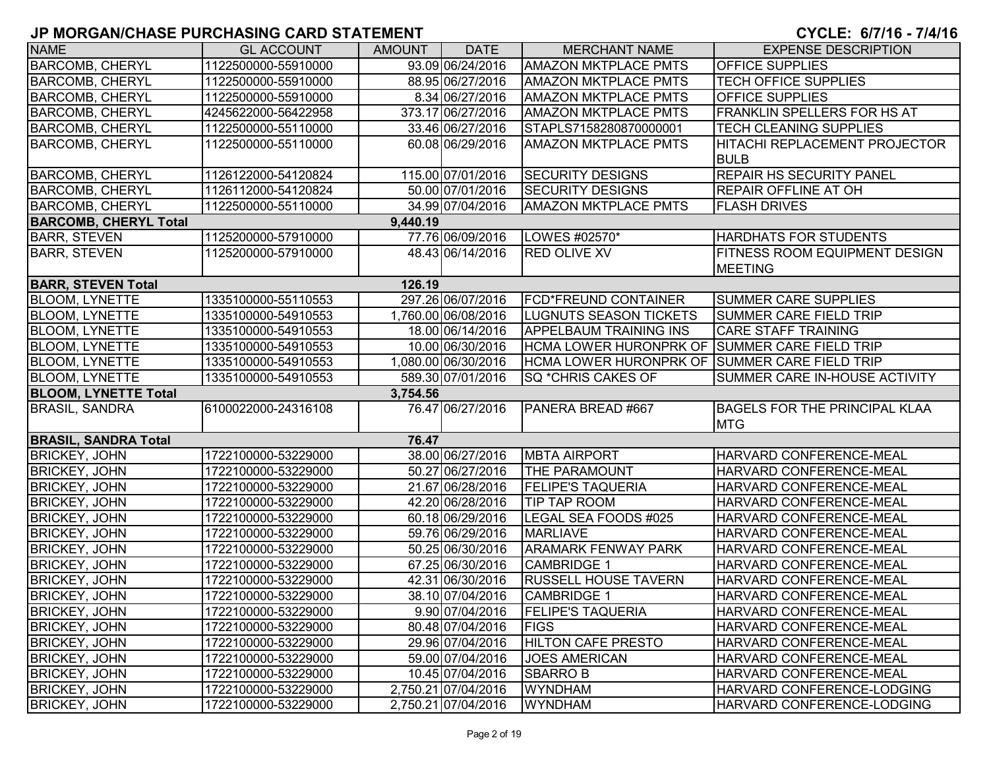| <b>NAME</b>                  | <b>GL ACCOUNT</b>   | <b>AMOUNT</b> | <b>DATE</b>         | <b>MERCHANT NAME</b>                          | <b>EXPENSE DESCRIPTION</b>           |
|------------------------------|---------------------|---------------|---------------------|-----------------------------------------------|--------------------------------------|
| <b>BARCOMB, CHERYL</b>       | 1122500000-55910000 |               | 93.09 06/24/2016    | <b>AMAZON MKTPLACE PMTS</b>                   | <b>OFFICE SUPPLIES</b>               |
| <b>BARCOMB, CHERYL</b>       | 1122500000-55910000 |               | 88.95 06/27/2016    | <b>AMAZON MKTPLACE PMTS</b>                   | <b>TECH OFFICE SUPPLIES</b>          |
| <b>BARCOMB, CHERYL</b>       | 1122500000-55910000 |               | 8.34 06/27/2016     | <b>AMAZON MKTPLACE PMTS</b>                   | <b>OFFICE SUPPLIES</b>               |
| <b>BARCOMB, CHERYL</b>       | 4245622000-56422958 |               | 373.17 06/27/2016   | <b>AMAZON MKTPLACE PMTS</b>                   | <b>FRANKLIN SPELLERS FOR HS AT</b>   |
| <b>BARCOMB, CHERYL</b>       | 1122500000-55110000 |               | 33.46 06/27/2016    | STAPLS7158280870000001                        | <b>TECH CLEANING SUPPLIES</b>        |
| <b>BARCOMB, CHERYL</b>       | 1122500000-55110000 |               | 60.08 06/29/2016    | <b>AMAZON MKTPLACE PMTS</b>                   | HITACHI REPLACEMENT PROJECTOR        |
|                              |                     |               |                     |                                               | <b>BULB</b>                          |
| <b>BARCOMB, CHERYL</b>       | 1126122000-54120824 |               | 115.00 07/01/2016   | <b>SECURITY DESIGNS</b>                       | <b>REPAIR HS SECURITY PANEL</b>      |
| <b>BARCOMB, CHERYL</b>       | 1126112000-54120824 |               | 50.00 07/01/2016    | <b>SECURITY DESIGNS</b>                       | <b>REPAIR OFFLINE AT OH</b>          |
| <b>BARCOMB, CHERYL</b>       | 1122500000-55110000 |               | 34.99 07/04/2016    | <b>AMAZON MKTPLACE PMTS</b>                   | <b>FLASH DRIVES</b>                  |
| <b>BARCOMB, CHERYL Total</b> |                     | 9,440.19      |                     |                                               |                                      |
| <b>BARR, STEVEN</b>          | 1125200000-57910000 |               | 77.76 06/09/2016    | LOWES #02570*                                 | <b>HARDHATS FOR STUDENTS</b>         |
| <b>BARR, STEVEN</b>          | 1125200000-57910000 |               | 48.43 06/14/2016    | <b>RED OLIVE XV</b>                           | <b>FITNESS ROOM EQUIPMENT DESIGN</b> |
|                              |                     |               |                     |                                               | <b>MEETING</b>                       |
| <b>BARR, STEVEN Total</b>    |                     | 126.19        |                     |                                               |                                      |
| <b>BLOOM, LYNETTE</b>        | 1335100000-55110553 |               | 297.26 06/07/2016   | <b>FCD*FREUND CONTAINER</b>                   | <b>SUMMER CARE SUPPLIES</b>          |
| <b>BLOOM, LYNETTE</b>        | 1335100000-54910553 |               | 1,760.00 06/08/2016 | <b>LUGNUTS SEASON TICKETS</b>                 | <b>SUMMER CARE FIELD TRIP</b>        |
| <b>BLOOM, LYNETTE</b>        | 1335100000-54910553 |               | 18.00 06/14/2016    | <b>APPELBAUM TRAINING INS</b>                 | <b>CARE STAFF TRAINING</b>           |
| <b>BLOOM, LYNETTE</b>        | 1335100000-54910553 |               | 10.00 06/30/2016    | HCMA LOWER HURONPRK OF SUMMER CARE FIELD TRIP |                                      |
| <b>BLOOM, LYNETTE</b>        | 1335100000-54910553 |               | 1,080.00 06/30/2016 | HCMA LOWER HURONPRK OF SUMMER CARE FIELD TRIP |                                      |
| <b>BLOOM, LYNETTE</b>        | 1335100000-54910553 |               | 589.30 07/01/2016   | SQ *CHRIS CAKES OF                            | SUMMER CARE IN-HOUSE ACTIVITY        |
| <b>BLOOM, LYNETTE Total</b>  |                     | 3,754.56      |                     |                                               |                                      |
| <b>BRASIL, SANDRA</b>        | 6100022000-24316108 |               | 76.47 06/27/2016    | PANERA BREAD #667                             | <b>BAGELS FOR THE PRINCIPAL KLAA</b> |
|                              |                     |               |                     |                                               | <b>MTG</b>                           |
| <b>BRASIL, SANDRA Total</b>  |                     | 76.47         |                     |                                               |                                      |
| <b>BRICKEY, JOHN</b>         | 1722100000-53229000 |               | 38.00 06/27/2016    | <b>MBTA AIRPORT</b>                           | HARVARD CONFERENCE-MEAL              |
| <b>BRICKEY, JOHN</b>         | 1722100000-53229000 |               | 50.27 06/27/2016    | <b>THE PARAMOUNT</b>                          | HARVARD CONFERENCE-MEAL              |
| <b>BRICKEY, JOHN</b>         | 1722100000-53229000 |               | 21.67 06/28/2016    | <b>FELIPE'S TAQUERIA</b>                      | HARVARD CONFERENCE-MEAL              |
| <b>BRICKEY, JOHN</b>         | 1722100000-53229000 |               | 42.20 06/28/2016    | <b>TIP TAP ROOM</b>                           | HARVARD CONFERENCE-MEAL              |
| <b>BRICKEY, JOHN</b>         | 1722100000-53229000 |               | 60.18 06/29/2016    | LEGAL SEA FOODS #025                          | HARVARD CONFERENCE-MEAL              |
| <b>BRICKEY, JOHN</b>         | 1722100000-53229000 |               | 59.76 06/29/2016    | <b>MARLIAVE</b>                               | HARVARD CONFERENCE-MEAL              |
| <b>BRICKEY, JOHN</b>         | 1722100000-53229000 |               | 50.25 06/30/2016    | <b>ARAMARK FENWAY PARK</b>                    | HARVARD CONFERENCE-MEAL              |
| <b>BRICKEY, JOHN</b>         | 1722100000-53229000 |               | 67.25 06/30/2016    | <b>CAMBRIDGE 1</b>                            | HARVARD CONFERENCE-MEAL              |
| <b>BRICKEY, JOHN</b>         | 1722100000-53229000 |               | 42.31 06/30/2016    | RUSSELL HOUSE TAVERN                          | HARVARD CONFERENCE-MEAL              |
| <b>BRICKEY, JOHN</b>         | 1722100000-53229000 |               | 38.10 07/04/2016    | <b>CAMBRIDGE 1</b>                            | HARVARD CONFERENCE-MEAL              |
| <b>BRICKEY, JOHN</b>         | 1722100000-53229000 |               | 9.90 07/04/2016     | <b>FELIPE'S TAQUERIA</b>                      | HARVARD CONFERENCE-MEAL              |
| <b>BRICKEY, JOHN</b>         | 1722100000-53229000 |               | 80.48 07/04/2016    | <b>FIGS</b>                                   | HARVARD CONFERENCE-MEAL              |
| <b>BRICKEY, JOHN</b>         | 1722100000-53229000 |               | 29.96 07/04/2016    | <b>HILTON CAFE PRESTO</b>                     | HARVARD CONFERENCE-MEAL              |
| <b>BRICKEY, JOHN</b>         | 1722100000-53229000 |               | 59.00 07/04/2016    | <b>JOES AMERICAN</b>                          | HARVARD CONFERENCE-MEAL              |
| <b>BRICKEY, JOHN</b>         | 1722100000-53229000 |               | 10.45 07/04/2016    | <b>SBARROB</b>                                | HARVARD CONFERENCE-MEAL              |
| <b>BRICKEY, JOHN</b>         | 1722100000-53229000 |               | 2,750.21 07/04/2016 | <b>WYNDHAM</b>                                | HARVARD CONFERENCE-LODGING           |
| <b>BRICKEY, JOHN</b>         | 1722100000-53229000 |               | 2,750.21 07/04/2016 | <b>WYNDHAM</b>                                | HARVARD CONFERENCE-LODGING           |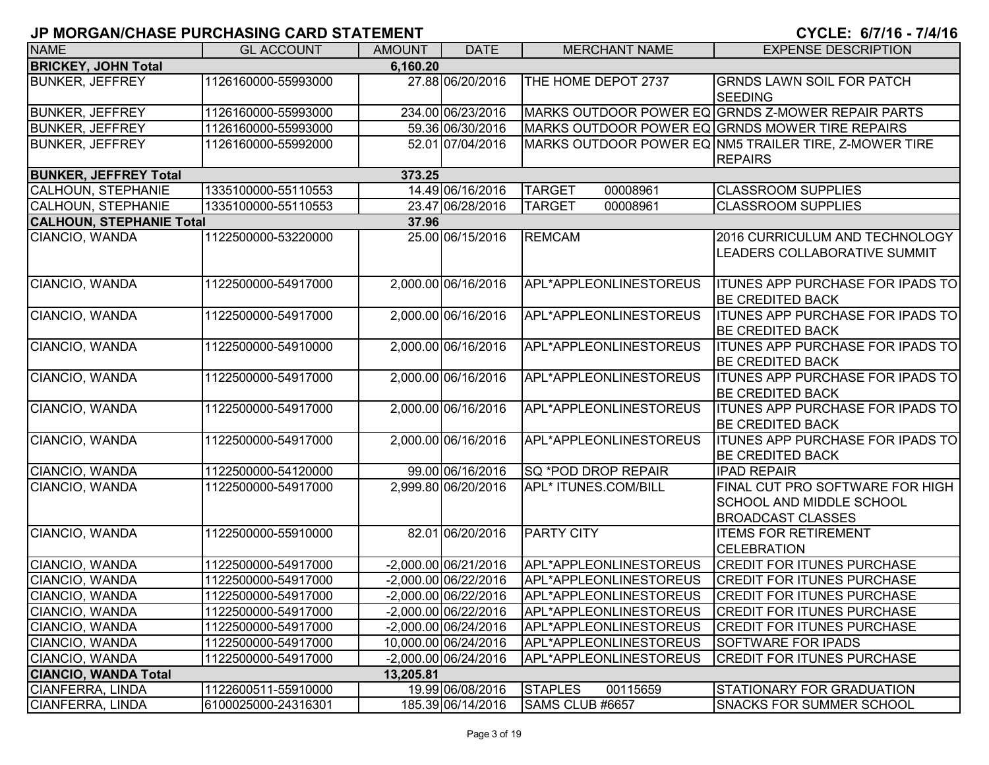# **JP MORGAN/CHASE PURCHASING CARD STATEMENT**  $\blacksquare$

|  |  |  |  |  |  | CYCLE: 6/7/16 - 7/4/16 |  |  |
|--|--|--|--|--|--|------------------------|--|--|
|  |  |  |  |  |  |                        |  |  |

| <b>NAME</b>                     | <b>GL ACCOUNT</b>   | <b>AMOUNT</b> | <b>DATE</b>            | <b>MERCHANT NAME</b>       | <b>EXPENSE DESCRIPTION</b>                                                                     |
|---------------------------------|---------------------|---------------|------------------------|----------------------------|------------------------------------------------------------------------------------------------|
| <b>BRICKEY, JOHN Total</b>      |                     | 6,160.20      |                        |                            |                                                                                                |
| <b>BUNKER, JEFFREY</b>          | 1126160000-55993000 |               | 27.88 06/20/2016       | THE HOME DEPOT 2737        | <b>GRNDS LAWN SOIL FOR PATCH</b><br><b>SEEDING</b>                                             |
| <b>BUNKER, JEFFREY</b>          | 1126160000-55993000 |               | 234.00 06/23/2016      |                            | MARKS OUTDOOR POWER EQ GRNDS Z-MOWER REPAIR PARTS                                              |
| <b>BUNKER, JEFFREY</b>          | 1126160000-55993000 |               | 59.36 06/30/2016       |                            | MARKS OUTDOOR POWER EQ GRNDS MOWER TIRE REPAIRS                                                |
| <b>BUNKER, JEFFREY</b>          | 1126160000-55992000 |               | 52.01 07/04/2016       |                            | MARKS OUTDOOR POWER EQ NM5 TRAILER TIRE, Z-MOWER TIRE<br><b>REPAIRS</b>                        |
| <b>BUNKER, JEFFREY Total</b>    |                     | 373.25        |                        |                            |                                                                                                |
| <b>CALHOUN, STEPHANIE</b>       | 1335100000-55110553 |               | 14.49 06/16/2016       | <b>TARGET</b><br>00008961  | <b>CLASSROOM SUPPLIES</b>                                                                      |
| <b>CALHOUN, STEPHANIE</b>       | 1335100000-55110553 |               | 23.47 06/28/2016       | <b>TARGET</b><br>00008961  | <b>CLASSROOM SUPPLIES</b>                                                                      |
| <b>CALHOUN, STEPHANIE Total</b> |                     | 37.96         |                        |                            |                                                                                                |
| CIANCIO, WANDA                  | 1122500000-53220000 |               | 25.00 06/15/2016       | <b>REMCAM</b>              | 2016 CURRICULUM AND TECHNOLOGY<br>LEADERS COLLABORATIVE SUMMIT                                 |
| CIANCIO, WANDA                  | 1122500000-54917000 |               | 2,000.00 06/16/2016    | APL*APPLEONLINESTOREUS     | <b>ITUNES APP PURCHASE FOR IPADS TO</b><br><b>BE CREDITED BACK</b>                             |
| CIANCIO, WANDA                  | 1122500000-54917000 |               | 2,000.00 06/16/2016    | APL*APPLEONLINESTOREUS     | <b>ITUNES APP PURCHASE FOR IPADS TO</b><br><b>BE CREDITED BACK</b>                             |
| CIANCIO, WANDA                  | 1122500000-54910000 |               | 2,000.00 06/16/2016    | APL*APPLEONLINESTOREUS     | <b>ITUNES APP PURCHASE FOR IPADS TO</b><br><b>BE CREDITED BACK</b>                             |
| CIANCIO, WANDA                  | 1122500000-54917000 |               | 2,000.00 06/16/2016    | APL*APPLEONLINESTOREUS     | <b>ITUNES APP PURCHASE FOR IPADS TO</b><br><b>BE CREDITED BACK</b>                             |
| CIANCIO, WANDA                  | 1122500000-54917000 |               | 2,000.00 06/16/2016    | APL*APPLEONLINESTOREUS     | <b>ITUNES APP PURCHASE FOR IPADS TO</b><br><b>BE CREDITED BACK</b>                             |
| CIANCIO, WANDA                  | 1122500000-54917000 |               | 2,000.00 06/16/2016    | APL*APPLEONLINESTOREUS     | <b>ITUNES APP PURCHASE FOR IPADS TO</b><br><b>BE CREDITED BACK</b>                             |
| CIANCIO, WANDA                  | 1122500000-54120000 |               | 99.00 06/16/2016       | SQ *POD DROP REPAIR        | <b>IPAD REPAIR</b>                                                                             |
| CIANCIO, WANDA                  | 1122500000-54917000 |               | 2,999.80 06/20/2016    | APL* ITUNES.COM/BILL       | FINAL CUT PRO SOFTWARE FOR HIGH<br><b>SCHOOL AND MIDDLE SCHOOL</b><br><b>BROADCAST CLASSES</b> |
| CIANCIO, WANDA                  | 1122500000-55910000 |               | 82.01 06/20/2016       | <b>PARTY CITY</b>          | <b>ITEMS FOR RETIREMENT</b><br><b>CELEBRATION</b>                                              |
| CIANCIO, WANDA                  | 1122500000-54917000 |               | $-2,000.00$ 06/21/2016 | APL*APPLEONLINESTOREUS     | <b>CREDIT FOR ITUNES PURCHASE</b>                                                              |
| CIANCIO, WANDA                  | 1122500000-54917000 |               | $-2,000.00$ 06/22/2016 | APL*APPLEONLINESTOREUS     | <b>CREDIT FOR ITUNES PURCHASE</b>                                                              |
| CIANCIO, WANDA                  | 1122500000-54917000 |               | $-2,000.00$ 06/22/2016 | APL*APPLEONLINESTOREUS     | <b>CREDIT FOR ITUNES PURCHASE</b>                                                              |
| CIANCIO, WANDA                  | 1122500000-54917000 |               | -2,000.00 06/22/2016   | APL*APPLEONLINESTOREUS     | <b>CREDIT FOR ITUNES PURCHASE</b>                                                              |
| CIANCIO, WANDA                  | 1122500000-54917000 |               | -2,000.00 06/24/2016   | APL*APPLEONLINESTOREUS     | <b>CREDIT FOR ITUNES PURCHASE</b>                                                              |
| CIANCIO, WANDA                  | 1122500000-54917000 |               | 10,000.00 06/24/2016   | APL*APPLEONLINESTOREUS     | <b>SOFTWARE FOR IPADS</b>                                                                      |
| CIANCIO, WANDA                  | 1122500000-54917000 |               | -2,000.00 06/24/2016   | APL*APPLEONLINESTOREUS     | <b>CREDIT FOR ITUNES PURCHASE</b>                                                              |
| <b>CIANCIO, WANDA Total</b>     |                     | 13,205.81     |                        |                            |                                                                                                |
| CIANFERRA, LINDA                | 1122600511-55910000 |               | 19.99 06/08/2016       | <b>STAPLES</b><br>00115659 | STATIONARY FOR GRADUATION                                                                      |
| CIANFERRA, LINDA                | 6100025000-24316301 |               | 185.39 06/14/2016      | SAMS CLUB #6657            | <b>SNACKS FOR SUMMER SCHOOL</b>                                                                |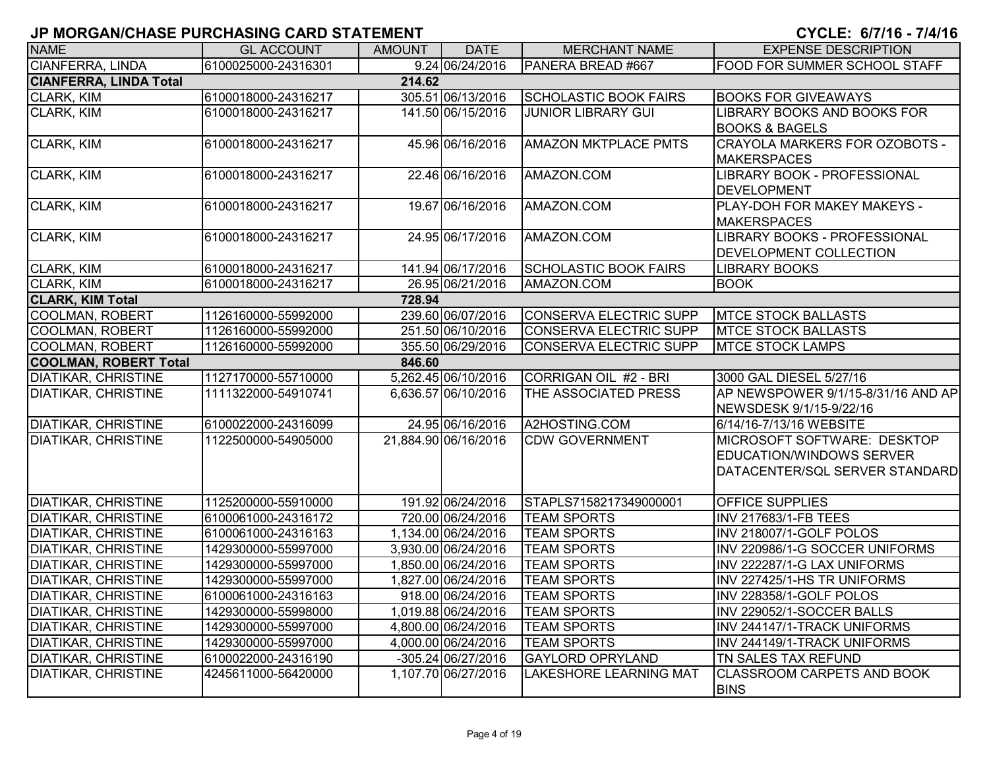| <b>NAME</b>                   | <b>GL ACCOUNT</b>   | <b>AMOUNT</b> | <b>DATE</b>          | <b>MERCHANT NAME</b>          | <b>EXPENSE DESCRIPTION</b>           |
|-------------------------------|---------------------|---------------|----------------------|-------------------------------|--------------------------------------|
| <b>CIANFERRA, LINDA</b>       | 6100025000-24316301 |               | 9.24 06/24/2016      | PANERA BREAD #667             | <b>FOOD FOR SUMMER SCHOOL STAFF</b>  |
| <b>CIANFERRA, LINDA Total</b> |                     | 214.62        |                      |                               |                                      |
| CLARK, KIM                    | 6100018000-24316217 |               | 305.51 06/13/2016    | <b>SCHOLASTIC BOOK FAIRS</b>  | <b>BOOKS FOR GIVEAWAYS</b>           |
| CLARK, KIM                    | 6100018000-24316217 |               | 141.50 06/15/2016    | <b>JUNIOR LIBRARY GUI</b>     | LIBRARY BOOKS AND BOOKS FOR          |
|                               |                     |               |                      |                               | <b>BOOKS &amp; BAGELS</b>            |
| CLARK, KIM                    | 6100018000-24316217 |               | 45.96 06/16/2016     | <b>AMAZON MKTPLACE PMTS</b>   | <b>CRAYOLA MARKERS FOR OZOBOTS -</b> |
|                               |                     |               |                      |                               | <b>MAKERSPACES</b>                   |
| CLARK, KIM                    | 6100018000-24316217 |               | 22.46 06/16/2016     | AMAZON.COM                    | LIBRARY BOOK - PROFESSIONAL          |
|                               |                     |               |                      |                               | <b>DEVELOPMENT</b>                   |
| <b>CLARK, KIM</b>             | 6100018000-24316217 |               | 19.67 06/16/2016     | AMAZON.COM                    | <b>PLAY-DOH FOR MAKEY MAKEYS -</b>   |
|                               |                     |               |                      |                               | <b>MAKERSPACES</b>                   |
| <b>CLARK, KIM</b>             | 6100018000-24316217 |               | 24.95 06/17/2016     | AMAZON.COM                    | LIBRARY BOOKS - PROFESSIONAL         |
|                               |                     |               |                      |                               | <b>DEVELOPMENT COLLECTION</b>        |
| CLARK, KIM                    | 6100018000-24316217 |               | 141.94 06/17/2016    | <b>SCHOLASTIC BOOK FAIRS</b>  | <b>LIBRARY BOOKS</b>                 |
| <b>CLARK, KIM</b>             | 6100018000-24316217 |               | 26.95 06/21/2016     | AMAZON.COM                    | <b>BOOK</b>                          |
| <b>CLARK, KIM Total</b>       |                     | 728.94        |                      |                               |                                      |
| <b>COOLMAN, ROBERT</b>        | 1126160000-55992000 |               | 239.60 06/07/2016    | <b>CONSERVA ELECTRIC SUPP</b> | <b>MTCE STOCK BALLASTS</b>           |
| <b>COOLMAN, ROBERT</b>        | 1126160000-55992000 |               | 251.50 06/10/2016    | <b>CONSERVA ELECTRIC SUPP</b> | <b>IMTCE STOCK BALLASTS</b>          |
| <b>COOLMAN, ROBERT</b>        | 1126160000-55992000 |               | 355.50 06/29/2016    | <b>CONSERVA ELECTRIC SUPP</b> | <b>MTCE STOCK LAMPS</b>              |
| <b>COOLMAN, ROBERT Total</b>  |                     | 846.60        |                      |                               |                                      |
| <b>DIATIKAR, CHRISTINE</b>    | 1127170000-55710000 |               | 5,262.45 06/10/2016  | CORRIGAN OIL #2 - BRI         | 3000 GAL DIESEL 5/27/16              |
| <b>DIATIKAR, CHRISTINE</b>    | 1111322000-54910741 |               | 6,636.57 06/10/2016  | THE ASSOCIATED PRESS          | AP NEWSPOWER 9/1/15-8/31/16 AND AP   |
|                               |                     |               |                      |                               | NEWSDESK 9/1/15-9/22/16              |
| <b>DIATIKAR, CHRISTINE</b>    | 6100022000-24316099 |               | 24.95 06/16/2016     | A2HOSTING.COM                 | 6/14/16-7/13/16 WEBSITE              |
| <b>DIATIKAR, CHRISTINE</b>    | 1122500000-54905000 |               | 21,884.90 06/16/2016 | <b>CDW GOVERNMENT</b>         | MICROSOFT SOFTWARE: DESKTOP          |
|                               |                     |               |                      |                               | EDUCATION/WINDOWS SERVER             |
|                               |                     |               |                      |                               | DATACENTER/SQL SERVER STANDARD       |
|                               |                     |               |                      |                               |                                      |
| <b>DIATIKAR, CHRISTINE</b>    | 1125200000-55910000 |               | 191.92 06/24/2016    | STAPLS7158217349000001        | <b>OFFICE SUPPLIES</b>               |
| <b>DIATIKAR, CHRISTINE</b>    | 6100061000-24316172 |               | 720.00 06/24/2016    | <b>TEAM SPORTS</b>            | <b>INV 217683/1-FB TEES</b>          |
| <b>DIATIKAR, CHRISTINE</b>    | 6100061000-24316163 |               | 1,134.00 06/24/2016  | <b>TEAM SPORTS</b>            | INV 218007/1-GOLF POLOS              |
| <b>DIATIKAR, CHRISTINE</b>    | 1429300000-55997000 |               | 3,930.00 06/24/2016  | <b>TEAM SPORTS</b>            | INV 220986/1-G SOCCER UNIFORMS       |
| <b>DIATIKAR, CHRISTINE</b>    | 1429300000-55997000 |               | 1,850.00 06/24/2016  | <b>TEAM SPORTS</b>            | INV 222287/1-G LAX UNIFORMS          |
| <b>DIATIKAR, CHRISTINE</b>    | 1429300000-55997000 |               | 1,827.00 06/24/2016  | <b>TEAM SPORTS</b>            | INV 227425/1-HS TR UNIFORMS          |
| <b>DIATIKAR, CHRISTINE</b>    | 6100061000-24316163 |               | 918.00 06/24/2016    | <b>TEAM SPORTS</b>            | INV 228358/1-GOLF POLOS              |
| <b>DIATIKAR, CHRISTINE</b>    | 1429300000-55998000 |               | 1,019.88 06/24/2016  | <b>TEAM SPORTS</b>            | INV 229052/1-SOCCER BALLS            |
| <b>DIATIKAR, CHRISTINE</b>    | 1429300000-55997000 |               | 4,800.00 06/24/2016  | <b>TEAM SPORTS</b>            | INV 244147/1-TRACK UNIFORMS          |
| <b>DIATIKAR, CHRISTINE</b>    | 1429300000-55997000 |               | 4,000.00 06/24/2016  | <b>TEAM SPORTS</b>            | INV 244149/1-TRACK UNIFORMS          |
| <b>DIATIKAR, CHRISTINE</b>    | 6100022000-24316190 |               | -305.24 06/27/2016   | <b>GAYLORD OPRYLAND</b>       | TN SALES TAX REFUND                  |
| <b>DIATIKAR, CHRISTINE</b>    | 4245611000-56420000 |               | 1,107.70 06/27/2016  | LAKESHORE LEARNING MAT        | <b>CLASSROOM CARPETS AND BOOK</b>    |
|                               |                     |               |                      |                               | <b>BINS</b>                          |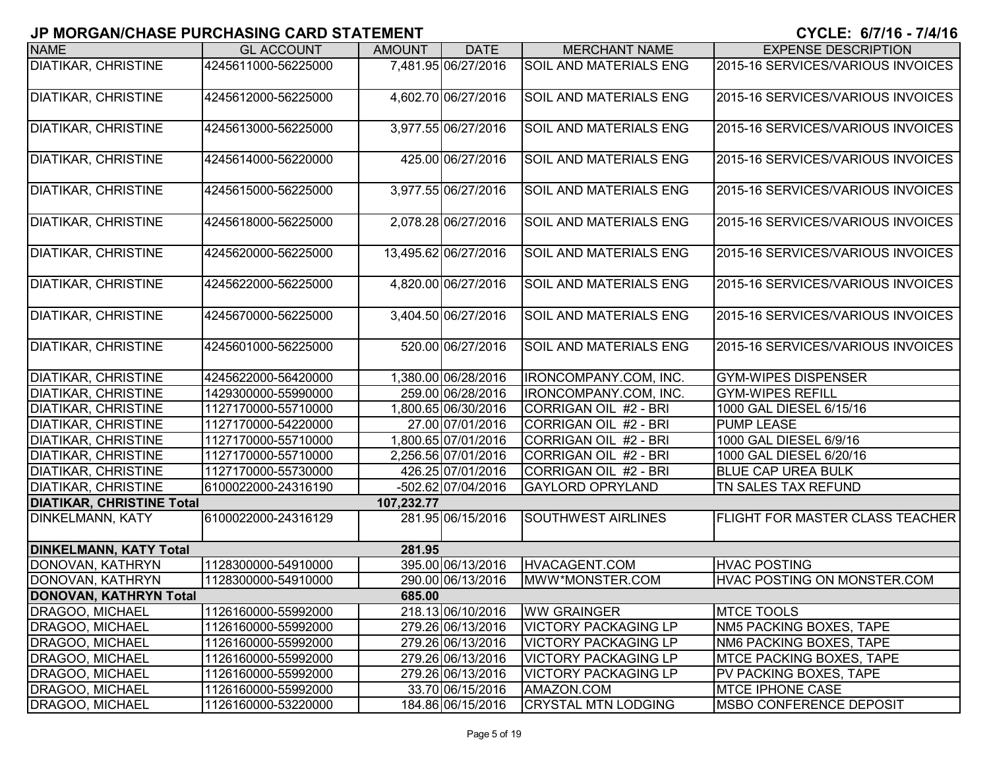| <b>NAME</b>                      | <b>GL ACCOUNT</b>   | <b>AMOUNT</b> | <b>DATE</b>          | <b>MERCHANT NAME</b>          | <b>EXPENSE DESCRIPTION</b>             |
|----------------------------------|---------------------|---------------|----------------------|-------------------------------|----------------------------------------|
| <b>DIATIKAR, CHRISTINE</b>       | 4245611000-56225000 |               | 7,481.95 06/27/2016  | <b>SOIL AND MATERIALS ENG</b> | 2015-16 SERVICES/VARIOUS INVOICES      |
| <b>DIATIKAR, CHRISTINE</b>       | 4245612000-56225000 |               | 4,602.70 06/27/2016  | <b>SOIL AND MATERIALS ENG</b> | 2015-16 SERVICES/VARIOUS INVOICES      |
| <b>DIATIKAR, CHRISTINE</b>       | 4245613000-56225000 |               | 3,977.55 06/27/2016  | <b>SOIL AND MATERIALS ENG</b> | 2015-16 SERVICES/VARIOUS INVOICES      |
| <b>DIATIKAR, CHRISTINE</b>       | 4245614000-56220000 |               | 425.00 06/27/2016    | <b>SOIL AND MATERIALS ENG</b> | 2015-16 SERVICES/VARIOUS INVOICES      |
| <b>DIATIKAR, CHRISTINE</b>       | 4245615000-56225000 |               | 3,977.55 06/27/2016  | <b>SOIL AND MATERIALS ENG</b> | 2015-16 SERVICES/VARIOUS INVOICES      |
| <b>DIATIKAR, CHRISTINE</b>       | 4245618000-56225000 |               | 2,078.28 06/27/2016  | <b>SOIL AND MATERIALS ENG</b> | 2015-16 SERVICES/VARIOUS INVOICES      |
| <b>DIATIKAR, CHRISTINE</b>       | 4245620000-56225000 |               | 13,495.62 06/27/2016 | <b>SOIL AND MATERIALS ENG</b> | 2015-16 SERVICES/VARIOUS INVOICES      |
| <b>DIATIKAR, CHRISTINE</b>       | 4245622000-56225000 |               | 4,820.00 06/27/2016  | <b>SOIL AND MATERIALS ENG</b> | 2015-16 SERVICES/VARIOUS INVOICES      |
| <b>DIATIKAR, CHRISTINE</b>       | 4245670000-56225000 |               | 3,404.50 06/27/2016  | <b>SOIL AND MATERIALS ENG</b> | 2015-16 SERVICES/VARIOUS INVOICES      |
| <b>DIATIKAR, CHRISTINE</b>       | 4245601000-56225000 |               | 520.00 06/27/2016    | <b>SOIL AND MATERIALS ENG</b> | 2015-16 SERVICES/VARIOUS INVOICES      |
| <b>DIATIKAR, CHRISTINE</b>       | 4245622000-56420000 |               | 1,380.00 06/28/2016  | IRONCOMPANY.COM, INC.         | <b>GYM-WIPES DISPENSER</b>             |
| <b>DIATIKAR, CHRISTINE</b>       | 1429300000-55990000 |               | 259.00 06/28/2016    | IRONCOMPANY.COM, INC.         | <b>GYM-WIPES REFILL</b>                |
| <b>DIATIKAR, CHRISTINE</b>       | 1127170000-55710000 |               | 1,800.65 06/30/2016  | CORRIGAN OIL #2 - BRI         | 1000 GAL DIESEL 6/15/16                |
| <b>DIATIKAR, CHRISTINE</b>       | 1127170000-54220000 |               | 27.00 07/01/2016     | CORRIGAN OIL #2 - BRI         | <b>PUMP LEASE</b>                      |
| <b>DIATIKAR, CHRISTINE</b>       | 1127170000-55710000 |               | 1,800.65 07/01/2016  | CORRIGAN OIL #2 - BRI         | 1000 GAL DIESEL 6/9/16                 |
| <b>DIATIKAR, CHRISTINE</b>       | 1127170000-55710000 |               | 2,256.56 07/01/2016  | CORRIGAN OIL #2 - BRI         | 1000 GAL DIESEL 6/20/16                |
| <b>DIATIKAR, CHRISTINE</b>       | 1127170000-55730000 |               | 426.25 07/01/2016    | CORRIGAN OIL #2 - BRI         | <b>BLUE CAP UREA BULK</b>              |
| <b>DIATIKAR, CHRISTINE</b>       | 6100022000-24316190 |               | -502.62 07/04/2016   | <b>GAYLORD OPRYLAND</b>       | TN SALES TAX REFUND                    |
| <b>DIATIKAR, CHRISTINE Total</b> |                     | 107,232.77    |                      |                               |                                        |
| <b>DINKELMANN, KATY</b>          | 6100022000-24316129 |               | 281.95 06/15/2016    | <b>SOUTHWEST AIRLINES</b>     | <b>FLIGHT FOR MASTER CLASS TEACHER</b> |
| <b>DINKELMANN, KATY Total</b>    |                     | 281.95        |                      |                               |                                        |
| DONOVAN, KATHRYN                 | 1128300000-54910000 |               | 395.00 06/13/2016    | HVACAGENT.COM                 | <b>HVAC POSTING</b>                    |
| DONOVAN, KATHRYN                 | 1128300000-54910000 |               | 290.00 06/13/2016    | MWW*MONSTER.COM               | HVAC POSTING ON MONSTER.COM            |
| <b>DONOVAN, KATHRYN Total</b>    |                     | 685.00        |                      |                               |                                        |
| DRAGOO, MICHAEL                  | 1126160000-55992000 |               | 218.13 06/10/2016    | <b>WW GRAINGER</b>            | <b>MTCE TOOLS</b>                      |
| DRAGOO, MICHAEL                  | 1126160000-55992000 |               | 279.26 06/13/2016    | <b>VICTORY PACKAGING LP</b>   | NM5 PACKING BOXES, TAPE                |
| DRAGOO, MICHAEL                  | 1126160000-55992000 |               | 279.26 06/13/2016    | <b>VICTORY PACKAGING LP</b>   | NM6 PACKING BOXES, TAPE                |
| DRAGOO, MICHAEL                  | 1126160000-55992000 |               | 279.26 06/13/2016    | <b>VICTORY PACKAGING LP</b>   | <b>MTCE PACKING BOXES, TAPE</b>        |
| DRAGOO, MICHAEL                  | 1126160000-55992000 |               | 279.26 06/13/2016    | <b>VICTORY PACKAGING LP</b>   | PV PACKING BOXES, TAPE                 |
| DRAGOO, MICHAEL                  | 1126160000-55992000 |               | 33.70 06/15/2016     | AMAZON.COM                    | <b>MTCE IPHONE CASE</b>                |
| DRAGOO, MICHAEL                  | 1126160000-53220000 |               | 184.86 06/15/2016    | <b>CRYSTAL MTN LODGING</b>    | MSBO CONFERENCE DEPOSIT                |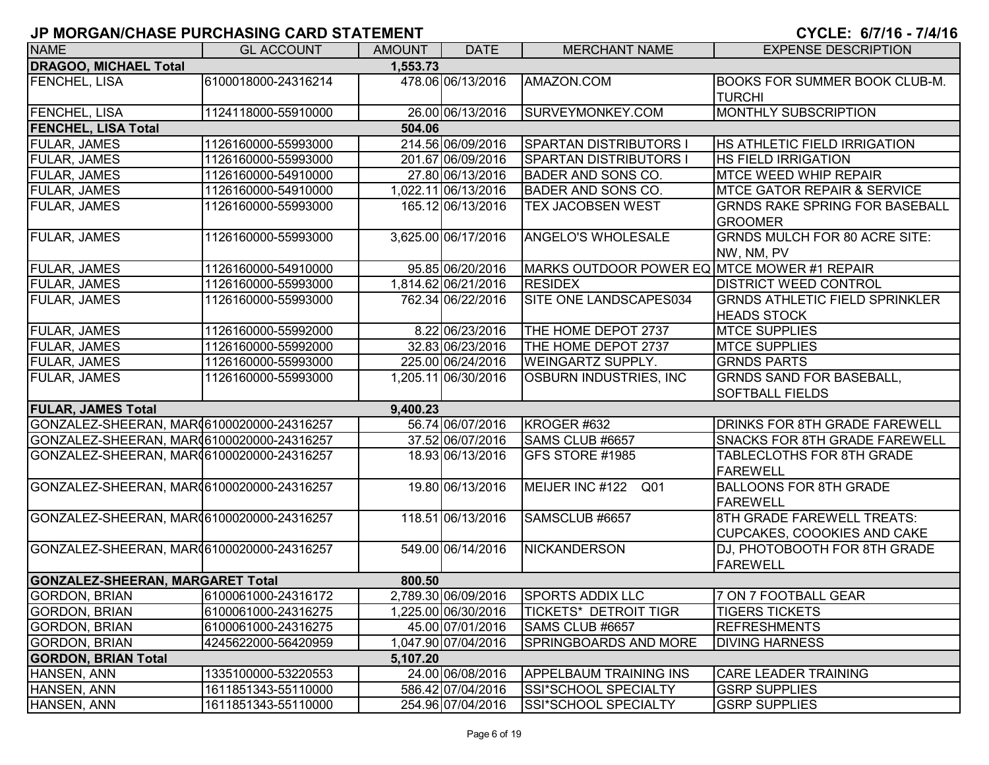| <b>NAME</b>                                | <b>GL ACCOUNT</b>   | <b>AMOUNT</b> | <b>DATE</b>         | <b>MERCHANT NAME</b>                        | <b>EXPENSE DESCRIPTION</b>                                       |
|--------------------------------------------|---------------------|---------------|---------------------|---------------------------------------------|------------------------------------------------------------------|
| <b>DRAGOO, MICHAEL Total</b>               |                     | 1,553.73      |                     |                                             |                                                                  |
| <b>FENCHEL, LISA</b>                       | 6100018000-24316214 |               | 478.06 06/13/2016   | AMAZON.COM                                  | <b>BOOKS FOR SUMMER BOOK CLUB-M.</b><br><b>TURCHI</b>            |
| <b>FENCHEL, LISA</b>                       | 1124118000-55910000 |               | 26.00 06/13/2016    | SURVEYMONKEY.COM                            | MONTHLY SUBSCRIPTION                                             |
| <b>FENCHEL, LISA Total</b>                 |                     | 504.06        |                     |                                             |                                                                  |
| FULAR, JAMES                               | 1126160000-55993000 |               | 214.56 06/09/2016   | <b>SPARTAN DISTRIBUTORS I</b>               | <b>HS ATHLETIC FIELD IRRIGATION</b>                              |
| FULAR, JAMES                               | 1126160000-55993000 |               | 201.67 06/09/2016   | <b>SPARTAN DISTRIBUTORS</b>                 | <b>HS FIELD IRRIGATION</b>                                       |
| <b>FULAR, JAMES</b>                        | 1126160000-54910000 |               | 27.80 06/13/2016    | <b>BADER AND SONS CO.</b>                   | <b>MTCE WEED WHIP REPAIR</b>                                     |
| <b>FULAR, JAMES</b>                        | 1126160000-54910000 |               | 1,022.11 06/13/2016 | <b>BADER AND SONS CO.</b>                   | <b>MTCE GATOR REPAIR &amp; SERVICE</b>                           |
| <b>FULAR, JAMES</b>                        | 1126160000-55993000 |               | 165.12 06/13/2016   | TEX JACOBSEN WEST                           | <b>GRNDS RAKE SPRING FOR BASEBALL</b><br><b>GROOMER</b>          |
| <b>FULAR, JAMES</b>                        | 1126160000-55993000 |               | 3,625.00 06/17/2016 | ANGELO'S WHOLESALE                          | <b>GRNDS MULCH FOR 80 ACRE SITE:</b><br>NW, NM, PV               |
| <b>FULAR, JAMES</b>                        | 1126160000-54910000 |               | 95.85 06/20/2016    | MARKS OUTDOOR POWER EQ MTCE MOWER #1 REPAIR |                                                                  |
| <b>FULAR, JAMES</b>                        | 1126160000-55993000 |               | 1,814.62 06/21/2016 | <b>RESIDEX</b>                              | <b>DISTRICT WEED CONTROL</b>                                     |
| <b>FULAR, JAMES</b>                        | 1126160000-55993000 |               | 762.34 06/22/2016   | SITE ONE LANDSCAPES034                      | <b>GRNDS ATHLETIC FIELD SPRINKLER</b><br><b>HEADS STOCK</b>      |
| <b>FULAR, JAMES</b>                        | 1126160000-55992000 |               | 8.22 06/23/2016     | THE HOME DEPOT 2737                         | <b>MTCE SUPPLIES</b>                                             |
| <b>FULAR, JAMES</b>                        | 1126160000-55992000 |               | 32.83 06/23/2016    | THE HOME DEPOT 2737                         | <b>MTCE SUPPLIES</b>                                             |
| <b>FULAR, JAMES</b>                        | 1126160000-55993000 |               | 225.00 06/24/2016   | <b>WEINGARTZ SUPPLY.</b>                    | <b>GRNDS PARTS</b>                                               |
| <b>FULAR, JAMES</b>                        | 1126160000-55993000 |               | 1,205.11 06/30/2016 | <b>OSBURN INDUSTRIES, INC</b>               | <b>GRNDS SAND FOR BASEBALL,</b><br><b>SOFTBALL FIELDS</b>        |
| <b>FULAR, JAMES Total</b>                  |                     | 9,400.23      |                     |                                             |                                                                  |
| GONZALEZ-SHEERAN, MAR (6100020000-24316257 |                     |               | 56.74 06/07/2016    | KROGER #632                                 | <b>DRINKS FOR 8TH GRADE FAREWELL</b>                             |
| GONZALEZ-SHEERAN, MAR06100020000-24316257  |                     |               | 37.52 06/07/2016    | SAMS CLUB #6657                             | <b>SNACKS FOR 8TH GRADE FAREWELL</b>                             |
| GONZALEZ-SHEERAN, MAR (6100020000-24316257 |                     |               | 18.93 06/13/2016    | GFS STORE #1985                             | <b>TABLECLOTHS FOR 8TH GRADE</b><br><b>FAREWELL</b>              |
| GONZALEZ-SHEERAN, MAR06100020000-24316257  |                     |               | 19.80 06/13/2016    | MEIJER INC #122<br>Q01                      | <b>BALLOONS FOR 8TH GRADE</b><br><b>FAREWELL</b>                 |
| GONZALEZ-SHEERAN, MAR (6100020000-24316257 |                     |               | 118.51 06/13/2016   | SAMSCLUB #6657                              | 8TH GRADE FAREWELL TREATS:<br><b>CUPCAKES, COOOKIES AND CAKE</b> |
| GONZALEZ-SHEERAN, MAR 6100020000-24316257  |                     |               | 549.00 06/14/2016   | <b>NICKANDERSON</b>                         | <b>DJ, PHOTOBOOTH FOR 8TH GRADE</b><br>FAREWELL                  |
| <b>GONZALEZ-SHEERAN, MARGARET Total</b>    |                     | 800.50        |                     |                                             |                                                                  |
| GORDON, BRIAN                              | 6100061000-24316172 |               | 2,789.30 06/09/2016 | <b>SPORTS ADDIX LLC</b>                     | 7 ON 7 FOOTBALL GEAR                                             |
| <b>GORDON, BRIAN</b>                       | 6100061000-24316275 |               | 1,225.00 06/30/2016 | <b>TICKETS* DETROIT TIGR</b>                | <b>TIGERS TICKETS</b>                                            |
| <b>GORDON, BRIAN</b>                       | 6100061000-24316275 |               | 45.00 07/01/2016    | SAMS CLUB #6657                             | <b>REFRESHMENTS</b>                                              |
| <b>GORDON, BRIAN</b>                       | 4245622000-56420959 |               | 1,047.90 07/04/2016 | <b>SPRINGBOARDS AND MORE</b>                | <b>DIVING HARNESS</b>                                            |
| <b>GORDON, BRIAN Total</b>                 |                     | 5,107.20      |                     |                                             |                                                                  |
| HANSEN, ANN                                | 1335100000-53220553 |               | 24.00 06/08/2016    | <b>APPELBAUM TRAINING INS</b>               | <b>CARE LEADER TRAINING</b>                                      |
| HANSEN, ANN                                | 1611851343-55110000 |               | 586.42 07/04/2016   | SSI*SCHOOL SPECIALTY                        | <b>GSRP SUPPLIES</b>                                             |
| HANSEN, ANN                                | 1611851343-55110000 |               | 254.96 07/04/2016   | SSI*SCHOOL SPECIALTY                        | <b>GSRP SUPPLIES</b>                                             |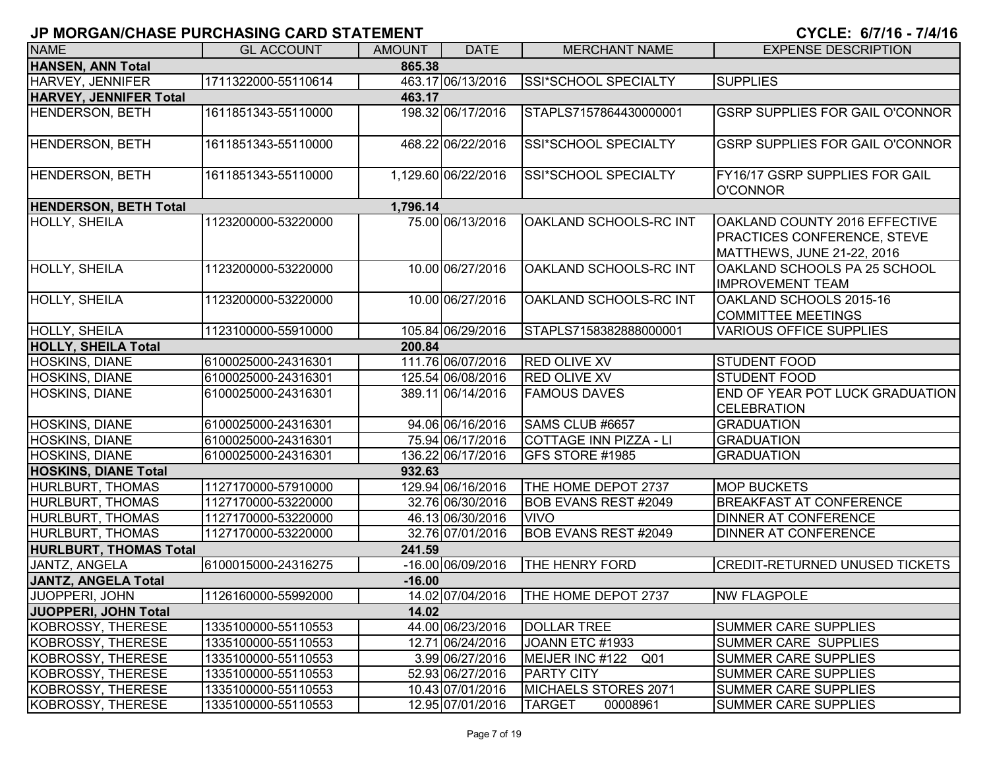# **JP MORGAN/CHASE PURCHASING CARD STATEMENT CYCLE: 6/7/16 - 7/4/1**

| <b>NAME</b>                          | <b>GL ACCOUNT</b>   | <b>AMOUNT</b> | <b>DATE</b>         | <b>MERCHANT NAME</b>                   | <b>EXPENSE DESCRIPTION</b>                                                                               |  |  |  |
|--------------------------------------|---------------------|---------------|---------------------|----------------------------------------|----------------------------------------------------------------------------------------------------------|--|--|--|
| <b>HANSEN, ANN Total</b>             |                     | 865.38        |                     |                                        |                                                                                                          |  |  |  |
| HARVEY, JENNIFER                     | 1711322000-55110614 |               | 463.17 06/13/2016   | SSI*SCHOOL SPECIALTY                   | <b>SUPPLIES</b>                                                                                          |  |  |  |
| <b>HARVEY, JENNIFER Total</b>        |                     | 463.17        |                     |                                        |                                                                                                          |  |  |  |
| <b>HENDERSON, BETH</b>               | 1611851343-55110000 |               | 198.32 06/17/2016   | STAPLS7157864430000001                 | <b>GSRP SUPPLIES FOR GAIL O'CONNOR</b>                                                                   |  |  |  |
| <b>HENDERSON, BETH</b>               | 1611851343-55110000 |               | 468.22 06/22/2016   | SSI*SCHOOL SPECIALTY                   | <b>GSRP SUPPLIES FOR GAIL O'CONNOR</b>                                                                   |  |  |  |
| <b>HENDERSON, BETH</b>               | 1611851343-55110000 |               | 1,129.60 06/22/2016 | SSI*SCHOOL SPECIALTY                   | FY16/17 GSRP SUPPLIES FOR GAIL<br>O'CONNOR                                                               |  |  |  |
| <b>HENDERSON, BETH Total</b>         |                     | 1,796.14      |                     |                                        |                                                                                                          |  |  |  |
| <b>HOLLY, SHEILA</b>                 | 1123200000-53220000 |               | 75.00 06/13/2016    | OAKLAND SCHOOLS-RC INT                 | <b>OAKLAND COUNTY 2016 EFFECTIVE</b><br><b>PRACTICES CONFERENCE, STEVE</b><br>MATTHEWS, JUNE 21-22, 2016 |  |  |  |
| HOLLY, SHEILA                        | 1123200000-53220000 |               | 10.00 06/27/2016    | OAKLAND SCHOOLS-RC INT                 | OAKLAND SCHOOLS PA 25 SCHOOL<br><b>IMPROVEMENT TEAM</b>                                                  |  |  |  |
| HOLLY, SHEILA                        | 1123200000-53220000 |               | 10.00 06/27/2016    | OAKLAND SCHOOLS-RC INT                 | OAKLAND SCHOOLS 2015-16<br><b>COMMITTEE MEETINGS</b>                                                     |  |  |  |
| <b>HOLLY, SHEILA</b>                 | 1123100000-55910000 |               | 105.84 06/29/2016   | STAPLS7158382888000001                 | <b>VARIOUS OFFICE SUPPLIES</b>                                                                           |  |  |  |
| 200.84<br><b>HOLLY, SHEILA Total</b> |                     |               |                     |                                        |                                                                                                          |  |  |  |
| HOSKINS, DIANE                       | 6100025000-24316301 |               | 111.76 06/07/2016   | <b>RED OLIVE XV</b>                    | <b>STUDENT FOOD</b>                                                                                      |  |  |  |
| <b>HOSKINS, DIANE</b>                | 6100025000-24316301 |               | 125.54 06/08/2016   | <b>RED OLIVE XV</b>                    | <b>STUDENT FOOD</b>                                                                                      |  |  |  |
| <b>HOSKINS, DIANE</b>                | 6100025000-24316301 |               | 389.11 06/14/2016   | <b>FAMOUS DAVES</b>                    | END OF YEAR POT LUCK GRADUATION<br><b>CELEBRATION</b>                                                    |  |  |  |
| HOSKINS, DIANE                       | 6100025000-24316301 |               | 94.06 06/16/2016    | SAMS CLUB #6657                        | <b>GRADUATION</b>                                                                                        |  |  |  |
| <b>HOSKINS, DIANE</b>                | 6100025000-24316301 |               | 75.94 06/17/2016    | COTTAGE INN PIZZA - LI                 | <b>GRADUATION</b>                                                                                        |  |  |  |
| <b>HOSKINS, DIANE</b>                | 6100025000-24316301 |               | 136.22 06/17/2016   | GFS STORE #1985                        | <b>GRADUATION</b>                                                                                        |  |  |  |
| <b>HOSKINS, DIANE Total</b>          |                     | 932.63        |                     |                                        |                                                                                                          |  |  |  |
| <b>HURLBURT, THOMAS</b>              | 1127170000-57910000 |               | 129.94 06/16/2016   | THE HOME DEPOT 2737                    | <b>MOP BUCKETS</b>                                                                                       |  |  |  |
| <b>HURLBURT, THOMAS</b>              | 1127170000-53220000 |               | 32.76 06/30/2016    | <b>BOB EVANS REST #2049</b>            | <b>BREAKFAST AT CONFERENCE</b>                                                                           |  |  |  |
| <b>HURLBURT, THOMAS</b>              | 1127170000-53220000 |               | 46.13 06/30/2016    | <b>VIVO</b>                            | <b>DINNER AT CONFERENCE</b>                                                                              |  |  |  |
| HURLBURT, THOMAS                     | 1127170000-53220000 |               | 32.76 07/01/2016    | <b>BOB EVANS REST #2049</b>            | <b>DINNER AT CONFERENCE</b>                                                                              |  |  |  |
| <b>HURLBURT, THOMAS Total</b>        |                     | 241.59        |                     |                                        |                                                                                                          |  |  |  |
| JANTZ, ANGELA                        | 6100015000-24316275 |               | -16.00 06/09/2016   | <b>THE HENRY FORD</b>                  | <b>CREDIT-RETURNED UNUSED TICKETS</b>                                                                    |  |  |  |
| <b>JANTZ, ANGELA Total</b>           |                     | $-16.00$      |                     |                                        |                                                                                                          |  |  |  |
| JUOPPERI, JOHN                       | 1126160000-55992000 |               |                     | 14.02 07/04/2016   THE HOME DEPOT 2737 | <b>NW FLAGPOLE</b>                                                                                       |  |  |  |
| JUOPPERI, JOHN Total                 |                     | 14.02         |                     |                                        |                                                                                                          |  |  |  |
| KOBROSSY, THERESE                    | 1335100000-55110553 |               | 44.00 06/23/2016    | <b>DOLLAR TREE</b>                     | SUMMER CARE SUPPLIES                                                                                     |  |  |  |
| KOBROSSY, THERESE                    | 1335100000-55110553 |               | 12.71 06/24/2016    | JOANN ETC #1933                        | SUMMER CARE SUPPLIES                                                                                     |  |  |  |
| KOBROSSY, THERESE                    | 1335100000-55110553 |               | 3.99 06/27/2016     | MEIJER INC #122 Q01                    | <b>SUMMER CARE SUPPLIES</b>                                                                              |  |  |  |
| KOBROSSY, THERESE                    | 1335100000-55110553 |               | 52.93 06/27/2016    | <b>PARTY CITY</b>                      | <b>SUMMER CARE SUPPLIES</b>                                                                              |  |  |  |
| KOBROSSY, THERESE                    | 1335100000-55110553 |               | 10.43 07/01/2016    | MICHAELS STORES 2071                   | <b>SUMMER CARE SUPPLIES</b>                                                                              |  |  |  |
| KOBROSSY, THERESE                    | 1335100000-55110553 |               | 12.95 07/01/2016    | <b>TARGET</b><br>00008961              | <b>SUMMER CARE SUPPLIES</b>                                                                              |  |  |  |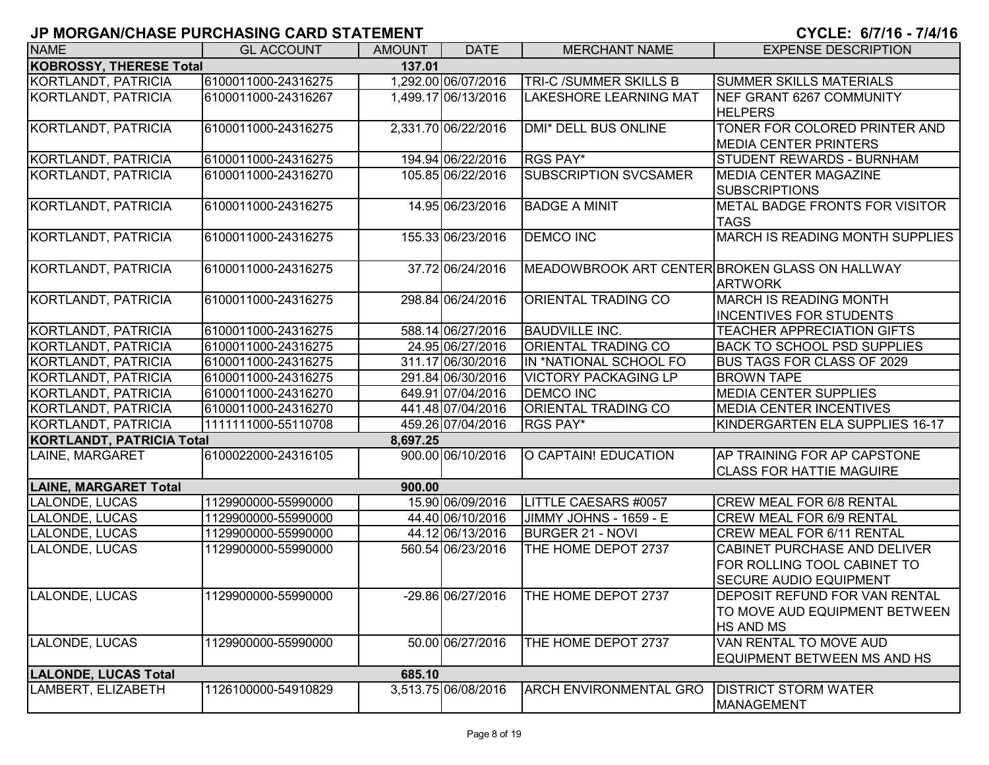| <b>NAME</b>                      | <b>GL ACCOUNT</b>   | <b>AMOUNT</b> | <b>DATE</b>         | <b>MERCHANT NAME</b>                           | <b>EXPENSE DESCRIPTION</b>             |
|----------------------------------|---------------------|---------------|---------------------|------------------------------------------------|----------------------------------------|
| <b>KOBROSSY, THERESE Total</b>   |                     | 137.01        |                     |                                                |                                        |
| KORTLANDT, PATRICIA              | 6100011000-24316275 |               | 1,292.00 06/07/2016 | <b>TRI-C /SUMMER SKILLS B</b>                  | <b>SUMMER SKILLS MATERIALS</b>         |
| KORTLANDT, PATRICIA              | 6100011000-24316267 |               | 1,499.17 06/13/2016 | <b>LAKESHORE LEARNING MAT</b>                  | NEF GRANT 6267 COMMUNITY               |
|                                  |                     |               |                     |                                                | <b>HELPERS</b>                         |
| KORTLANDT, PATRICIA              | 6100011000-24316275 |               | 2,331.70 06/22/2016 | <b>DMI* DELL BUS ONLINE</b>                    | TONER FOR COLORED PRINTER AND          |
|                                  |                     |               |                     |                                                | <b>MEDIA CENTER PRINTERS</b>           |
| KORTLANDT, PATRICIA              | 6100011000-24316275 |               | 194.94 06/22/2016   | RGS PAY*                                       | <b>STUDENT REWARDS - BURNHAM</b>       |
| <b>KORTLANDT, PATRICIA</b>       | 6100011000-24316270 |               | 105.85 06/22/2016   | <b>SUBSCRIPTION SVCSAMER</b>                   | <b>MEDIA CENTER MAGAZINE</b>           |
|                                  |                     |               |                     |                                                | <b>SUBSCRIPTIONS</b>                   |
| KORTLANDT, PATRICIA              | 6100011000-24316275 |               | 14.95 06/23/2016    | <b>BADGE A MINIT</b>                           | <b>METAL BADGE FRONTS FOR VISITOR</b>  |
|                                  |                     |               |                     |                                                | <b>TAGS</b>                            |
| KORTLANDT, PATRICIA              | 6100011000-24316275 |               | 155.33 06/23/2016   | <b>DEMCO INC</b>                               | <b>MARCH IS READING MONTH SUPPLIES</b> |
|                                  |                     |               |                     |                                                |                                        |
| KORTLANDT, PATRICIA              | 6100011000-24316275 |               | 37.72 06/24/2016    | MEADOWBROOK ART CENTER BROKEN GLASS ON HALLWAY |                                        |
|                                  |                     |               |                     |                                                | <b>ARTWORK</b>                         |
| KORTLANDT, PATRICIA              | 6100011000-24316275 |               | 298.84 06/24/2016   | <b>ORIENTAL TRADING CO</b>                     | <b>MARCH IS READING MONTH</b>          |
|                                  |                     |               |                     |                                                | <b>INCENTIVES FOR STUDENTS</b>         |
| KORTLANDT, PATRICIA              | 6100011000-24316275 |               | 588.14 06/27/2016   | <b>BAUDVILLE INC.</b>                          | <b>TEACHER APPRECIATION GIFTS</b>      |
| <b>KORTLANDT, PATRICIA</b>       | 6100011000-24316275 |               | 24.95 06/27/2016    | <b>ORIENTAL TRADING CO</b>                     | <b>BACK TO SCHOOL PSD SUPPLIES</b>     |
| KORTLANDT, PATRICIA              | 6100011000-24316275 |               | 311.17 06/30/2016   | IN *NATIONAL SCHOOL FO                         | <b>BUS TAGS FOR CLASS OF 2029</b>      |
| KORTLANDT, PATRICIA              | 6100011000-24316275 |               | 291.84 06/30/2016   | <b>VICTORY PACKAGING LP</b>                    | <b>BROWN TAPE</b>                      |
| KORTLANDT, PATRICIA              | 6100011000-24316270 |               | 649.91 07/04/2016   | <b>DEMCO INC</b>                               | <b>MEDIA CENTER SUPPLIES</b>           |
| KORTLANDT, PATRICIA              | 6100011000-24316270 |               | 441.48 07/04/2016   | <b>ORIENTAL TRADING CO</b>                     | <b>MEDIA CENTER INCENTIVES</b>         |
| KORTLANDT, PATRICIA              | 1111111000-55110708 |               | 459.26 07/04/2016   | <b>RGS PAY*</b>                                | KINDERGARTEN ELA SUPPLIES 16-17        |
| <b>KORTLANDT, PATRICIA Total</b> |                     | 8,697.25      |                     |                                                |                                        |
| LAINE, MARGARET                  | 6100022000-24316105 |               | 900.00 06/10/2016   | O CAPTAIN! EDUCATION                           | AP TRAINING FOR AP CAPSTONE            |
|                                  |                     |               |                     |                                                | <b>CLASS FOR HATTIE MAGUIRE</b>        |
| <b>LAINE, MARGARET Total</b>     |                     | 900.00        |                     |                                                |                                        |
| LALONDE, LUCAS                   | 1129900000-55990000 |               | 15.90 06/09/2016    | LITTLE CAESARS #0057                           | <b>CREW MEAL FOR 6/8 RENTAL</b>        |
| LALONDE, LUCAS                   | 1129900000-55990000 |               | 44.40 06/10/2016    | JIMMY JOHNS - 1659 - E                         | <b>CREW MEAL FOR 6/9 RENTAL</b>        |
| LALONDE, LUCAS                   | 1129900000-55990000 |               | 44.12 06/13/2016    | <b>BURGER 21 - NOVI</b>                        | CREW MEAL FOR 6/11 RENTAL              |
| LALONDE, LUCAS                   | 1129900000-55990000 |               | 560.54 06/23/2016   | THE HOME DEPOT 2737                            | CABINET PURCHASE AND DELIVER           |
|                                  |                     |               |                     |                                                | FOR ROLLING TOOL CABINET TO            |
|                                  |                     |               |                     |                                                | <b>SECURE AUDIO EQUIPMENT</b>          |
| LALONDE, LUCAS                   | 1129900000-55990000 |               | -29.86 06/27/2016   | THE HOME DEPOT 2737                            | <b>DEPOSIT REFUND FOR VAN RENTAL</b>   |
|                                  |                     |               |                     |                                                | TO MOVE AUD EQUIPMENT BETWEEN          |
|                                  |                     |               |                     |                                                | <b>HS AND MS</b>                       |
| LALONDE, LUCAS                   | 1129900000-55990000 |               | 50.00 06/27/2016    | THE HOME DEPOT 2737                            | VAN RENTAL TO MOVE AUD                 |
|                                  |                     |               |                     |                                                | EQUIPMENT BETWEEN MS AND HS            |
| <b>LALONDE, LUCAS Total</b>      |                     | 685.10        |                     |                                                |                                        |
| LAMBERT, ELIZABETH               | 1126100000-54910829 |               | 3,513.75 06/08/2016 | <b>ARCH ENVIRONMENTAL GRO</b>                  | <b>DISTRICT STORM WATER</b>            |
|                                  |                     |               |                     |                                                | <b>MANAGEMENT</b>                      |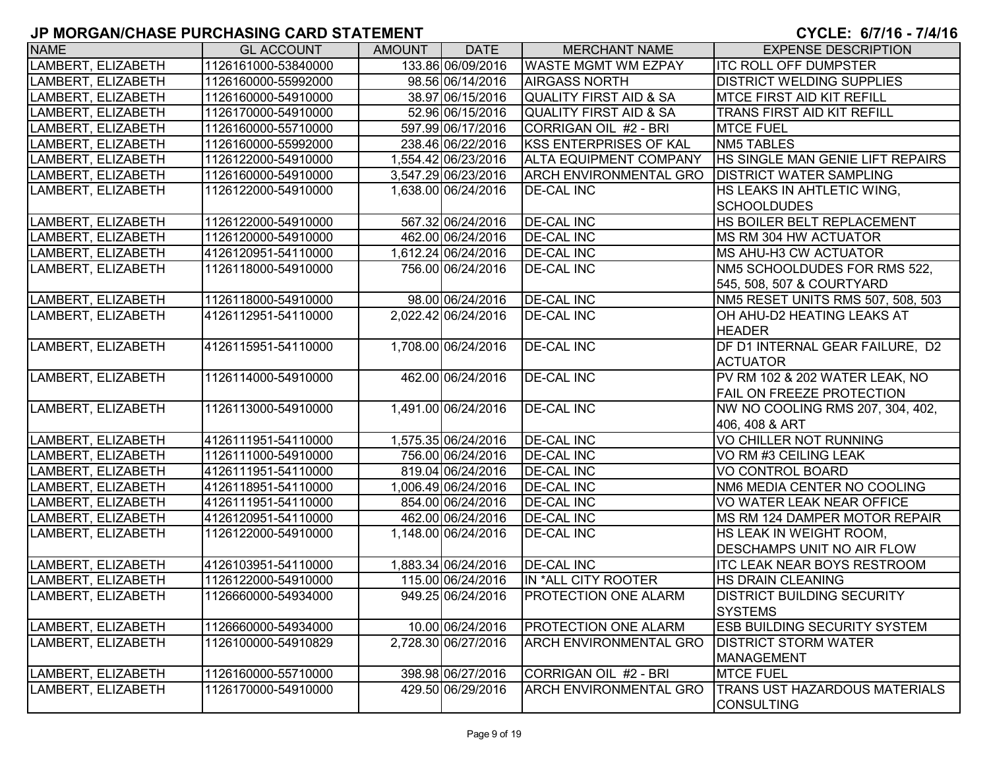| <b>NAME</b>        | <b>GL ACCOUNT</b>   | AMOUNT | <b>DATE</b>         | <b>MERCHANT NAME</b>              | <b>EXPENSE DESCRIPTION</b>            |
|--------------------|---------------------|--------|---------------------|-----------------------------------|---------------------------------------|
| LAMBERT, ELIZABETH | 1126161000-53840000 |        | 133.86 06/09/2016   | <b>WASTE MGMT WM EZPAY</b>        | <b>ITC ROLL OFF DUMPSTER</b>          |
| LAMBERT, ELIZABETH | 1126160000-55992000 |        | 98.56 06/14/2016    | <b>AIRGASS NORTH</b>              | <b>DISTRICT WELDING SUPPLIES</b>      |
| LAMBERT, ELIZABETH | 1126160000-54910000 |        | 38.97 06/15/2016    | <b>QUALITY FIRST AID &amp; SA</b> | <b>MTCE FIRST AID KIT REFILL</b>      |
| LAMBERT, ELIZABETH | 1126170000-54910000 |        | 52.96 06/15/2016    | <b>QUALITY FIRST AID &amp; SA</b> | <b>TRANS FIRST AID KIT REFILL</b>     |
| LAMBERT, ELIZABETH | 1126160000-55710000 |        | 597.99 06/17/2016   | CORRIGAN OIL #2 - BRI             | <b>MTCE FUEL</b>                      |
| LAMBERT, ELIZABETH | 1126160000-55992000 |        | 238.46 06/22/2016   | <b>KSS ENTERPRISES OF KAL</b>     | <b>NM5 TABLES</b>                     |
| LAMBERT, ELIZABETH | 1126122000-54910000 |        | 1,554.42 06/23/2016 | <b>ALTA EQUIPMENT COMPANY</b>     | HS SINGLE MAN GENIE LIFT REPAIRS      |
| LAMBERT, ELIZABETH | 1126160000-54910000 |        | 3,547.29 06/23/2016 | <b>ARCH ENVIRONMENTAL GRO</b>     | <b>DISTRICT WATER SAMPLING</b>        |
| LAMBERT, ELIZABETH | 1126122000-54910000 |        | 1,638.00 06/24/2016 | <b>DE-CAL INC</b>                 | HS LEAKS IN AHTLETIC WING,            |
|                    |                     |        |                     |                                   | <b>SCHOOLDUDES</b>                    |
| LAMBERT, ELIZABETH | 1126122000-54910000 |        | 567.32 06/24/2016   | <b>DE-CAL INC</b>                 | HS BOILER BELT REPLACEMENT            |
| LAMBERT, ELIZABETH | 1126120000-54910000 |        | 462.00 06/24/2016   | <b>DE-CAL INC</b>                 | <b>IMS RM 304 HW ACTUATOR</b>         |
| LAMBERT, ELIZABETH | 4126120951-54110000 |        | 1,612.24 06/24/2016 | <b>DE-CAL INC</b>                 | <b>MS AHU-H3 CW ACTUATOR</b>          |
| LAMBERT, ELIZABETH | 1126118000-54910000 |        | 756.00 06/24/2016   | <b>DE-CAL INC</b>                 | <b>INM5 SCHOOLDUDES FOR RMS 522,</b>  |
|                    |                     |        |                     |                                   | 545, 508, 507 & COURTYARD             |
| LAMBERT, ELIZABETH | 1126118000-54910000 |        | 98.00 06/24/2016    | <b>DE-CAL INC</b>                 | NM5 RESET UNITS RMS 507, 508, 503     |
| LAMBERT, ELIZABETH | 4126112951-54110000 |        | 2,022.42 06/24/2016 | <b>DE-CAL INC</b>                 | OH AHU-D2 HEATING LEAKS AT            |
|                    |                     |        |                     |                                   | <b>HEADER</b>                         |
| LAMBERT, ELIZABETH | 4126115951-54110000 |        | 1,708.00 06/24/2016 | <b>DE-CAL INC</b>                 | DF D1 INTERNAL GEAR FAILURE, D2       |
|                    |                     |        |                     |                                   | <b>ACTUATOR</b>                       |
| LAMBERT, ELIZABETH | 1126114000-54910000 |        | 462.00 06/24/2016   | <b>DE-CAL INC</b>                 | PV RM 102 & 202 WATER LEAK, NO        |
|                    |                     |        |                     |                                   | <b>FAIL ON FREEZE PROTECTION</b>      |
| LAMBERT, ELIZABETH | 1126113000-54910000 |        | 1,491.00 06/24/2016 | <b>DE-CAL INC</b>                 | NW NO COOLING RMS 207, 304, 402,      |
|                    |                     |        |                     |                                   | 406, 408 & ART                        |
| LAMBERT, ELIZABETH | 4126111951-54110000 |        | 1,575.35 06/24/2016 | <b>DE-CAL INC</b>                 | <b>VO CHILLER NOT RUNNING</b>         |
| LAMBERT, ELIZABETH | 1126111000-54910000 |        | 756.00 06/24/2016   | <b>DE-CAL INC</b>                 | VO RM #3 CEILING LEAK                 |
| LAMBERT, ELIZABETH | 4126111951-54110000 |        | 819.04 06/24/2016   | <b>DE-CAL INC</b>                 | <b>VO CONTROL BOARD</b>               |
| LAMBERT, ELIZABETH | 4126118951-54110000 |        | 1,006.49 06/24/2016 | <b>DE-CAL INC</b>                 | NM6 MEDIA CENTER NO COOLING           |
| LAMBERT, ELIZABETH | 4126111951-54110000 |        | 854.00 06/24/2016   | <b>DE-CAL INC</b>                 | VO WATER LEAK NEAR OFFICE             |
| LAMBERT, ELIZABETH | 4126120951-54110000 |        | 462.00 06/24/2016   | <b>DE-CAL INC</b>                 | <b>IMS RM 124 DAMPER MOTOR REPAIR</b> |
| LAMBERT, ELIZABETH | 1126122000-54910000 |        | 1,148.00 06/24/2016 | <b>DE-CAL INC</b>                 | HS LEAK IN WEIGHT ROOM,               |
|                    |                     |        |                     |                                   | <b>DESCHAMPS UNIT NO AIR FLOW</b>     |
| LAMBERT, ELIZABETH | 4126103951-54110000 |        | 1,883.34 06/24/2016 | <b>DE-CAL INC</b>                 | <b>ITC LEAK NEAR BOYS RESTROOM</b>    |
| LAMBERT, ELIZABETH | 1126122000-54910000 |        | 115.00 06/24/2016   | IN *ALL CITY ROOTER               | <b>HS DRAIN CLEANING</b>              |
| LAMBERT, ELIZABETH | 1126660000-54934000 |        | 949.25 06/24/2016   | <b>PROTECTION ONE ALARM</b>       | <b>DISTRICT BUILDING SECURITY</b>     |
|                    |                     |        |                     |                                   | <b>SYSTEMS</b>                        |
| LAMBERT, ELIZABETH | 1126660000-54934000 |        | 10.00 06/24/2016    | <b>PROTECTION ONE ALARM</b>       | <b>ESB BUILDING SECURITY SYSTEM</b>   |
| LAMBERT, ELIZABETH | 1126100000-54910829 |        | 2,728.30 06/27/2016 | <b>ARCH ENVIRONMENTAL GRO</b>     | <b>DISTRICT STORM WATER</b>           |
|                    |                     |        |                     |                                   | <b>MANAGEMENT</b>                     |
| LAMBERT, ELIZABETH | 1126160000-55710000 |        | 398.98 06/27/2016   | CORRIGAN OIL #2 - BRI             | <b>MTCE FUEL</b>                      |
| LAMBERT, ELIZABETH | 1126170000-54910000 |        | 429.50 06/29/2016   | <b>ARCH ENVIRONMENTAL GRO</b>     | <b>TRANS UST HAZARDOUS MATERIALS</b>  |
|                    |                     |        |                     |                                   | <b>ICONSULTING</b>                    |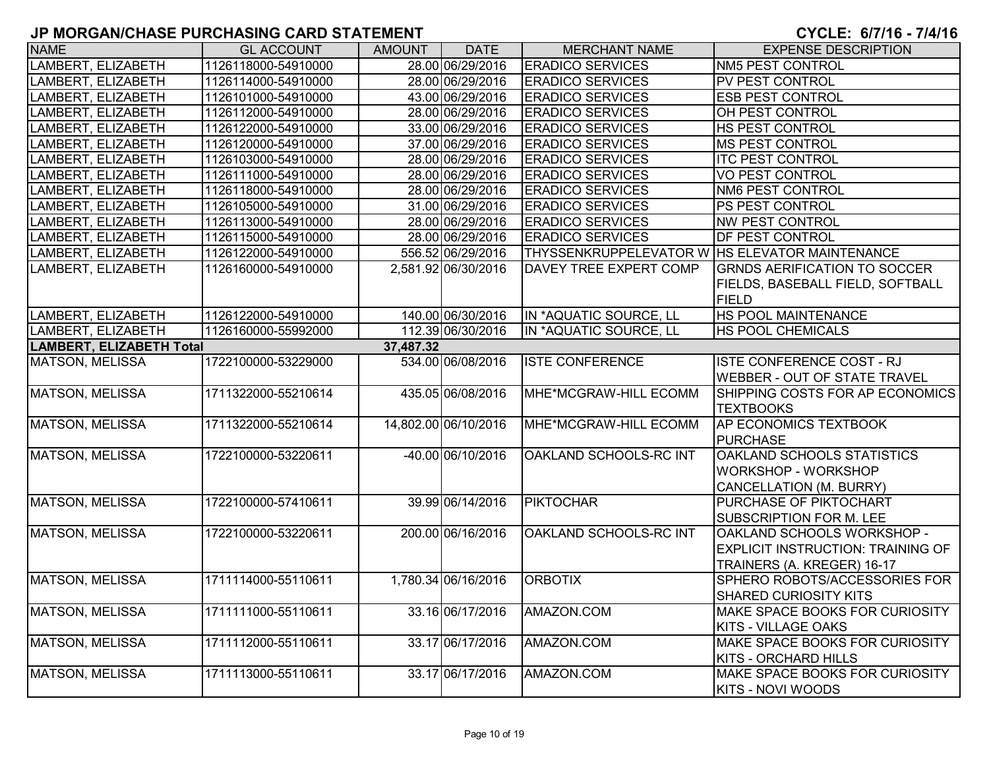| <b>NAME</b>                                  | <b>GL ACCOUNT</b>   | AMOUNT | <b>DATE</b>          | <b>MERCHANT NAME</b>                             | <b>EXPENSE DESCRIPTION</b>               |  |  |  |
|----------------------------------------------|---------------------|--------|----------------------|--------------------------------------------------|------------------------------------------|--|--|--|
| LAMBERT, ELIZABETH                           | 1126118000-54910000 |        | 28.00 06/29/2016     | <b>ERADICO SERVICES</b>                          | <b>NM5 PEST CONTROL</b>                  |  |  |  |
| LAMBERT, ELIZABETH                           | 1126114000-54910000 |        | 28.00 06/29/2016     | <b>ERADICO SERVICES</b>                          | PV PEST CONTROL                          |  |  |  |
| LAMBERT, ELIZABETH                           | 1126101000-54910000 |        | 43.00 06/29/2016     | <b>ERADICO SERVICES</b>                          | <b>ESB PEST CONTROL</b>                  |  |  |  |
| LAMBERT, ELIZABETH                           | 1126112000-54910000 |        | 28.00 06/29/2016     | <b>ERADICO SERVICES</b>                          | OH PEST CONTROL                          |  |  |  |
| LAMBERT, ELIZABETH                           | 1126122000-54910000 |        | 33.00 06/29/2016     | <b>ERADICO SERVICES</b>                          | HS PEST CONTROL                          |  |  |  |
| LAMBERT, ELIZABETH                           | 1126120000-54910000 |        | 37.00 06/29/2016     | <b>ERADICO SERVICES</b>                          | <b>MS PEST CONTROL</b>                   |  |  |  |
| LAMBERT, ELIZABETH                           | 1126103000-54910000 |        | 28.00 06/29/2016     | <b>ERADICO SERVICES</b>                          | <b>ITC PEST CONTROL</b>                  |  |  |  |
| LAMBERT, ELIZABETH                           | 1126111000-54910000 |        | 28.00 06/29/2016     | <b>ERADICO SERVICES</b>                          | <b>VO PEST CONTROL</b>                   |  |  |  |
| LAMBERT, ELIZABETH                           | 1126118000-54910000 |        | 28.00 06/29/2016     | <b>ERADICO SERVICES</b>                          | NM6 PEST CONTROL                         |  |  |  |
| LAMBERT, ELIZABETH                           | 1126105000-54910000 |        | 31.00 06/29/2016     | <b>ERADICO SERVICES</b>                          | PS PEST CONTROL                          |  |  |  |
| LAMBERT, ELIZABETH                           | 1126113000-54910000 |        | 28.00 06/29/2016     | <b>ERADICO SERVICES</b>                          | <b>NW PEST CONTROL</b>                   |  |  |  |
| LAMBERT, ELIZABETH                           | 1126115000-54910000 |        | 28.00 06/29/2016     | <b>ERADICO SERVICES</b>                          | DF PEST CONTROL                          |  |  |  |
| LAMBERT, ELIZABETH                           | 1126122000-54910000 |        | 556.52 06/29/2016    | THYSSENKRUPPELEVATOR W   HS ELEVATOR MAINTENANCE |                                          |  |  |  |
| LAMBERT, ELIZABETH                           | 1126160000-54910000 |        | 2,581.92 06/30/2016  | DAVEY TREE EXPERT COMP                           | <b>GRNDS AERIFICATION TO SOCCER</b>      |  |  |  |
|                                              |                     |        |                      |                                                  | FIELDS, BASEBALL FIELD, SOFTBALL         |  |  |  |
|                                              |                     |        |                      |                                                  | <b>FIELD</b>                             |  |  |  |
| LAMBERT, ELIZABETH                           | 1126122000-54910000 |        | 140.00 06/30/2016    | IN *AQUATIC SOURCE, LL                           | HS POOL MAINTENANCE                      |  |  |  |
| LAMBERT, ELIZABETH                           | 1126160000-55992000 |        | 112.39 06/30/2016    | IN *AQUATIC SOURCE, LL                           | HS POOL CHEMICALS                        |  |  |  |
| <b>LAMBERT, ELIZABETH Total</b><br>37,487.32 |                     |        |                      |                                                  |                                          |  |  |  |
| <b>MATSON, MELISSA</b>                       | 1722100000-53229000 |        | 534.00 06/08/2016    | <b>ISTE CONFERENCE</b>                           | ISTE CONFERENCE COST - RJ                |  |  |  |
|                                              |                     |        |                      |                                                  | WEBBER - OUT OF STATE TRAVEL             |  |  |  |
| <b>MATSON, MELISSA</b>                       | 1711322000-55210614 |        | 435.05 06/08/2016    | <b>MHE*MCGRAW-HILL ECOMM</b>                     | SHIPPING COSTS FOR AP ECONOMICS          |  |  |  |
|                                              |                     |        |                      |                                                  | <b>TEXTBOOKS</b>                         |  |  |  |
| <b>MATSON, MELISSA</b>                       | 1711322000-55210614 |        | 14,802.00 06/10/2016 | MHE*MCGRAW-HILL ECOMM                            | <b>AP ECONOMICS TEXTBOOK</b>             |  |  |  |
|                                              |                     |        |                      |                                                  | <b>PURCHASE</b>                          |  |  |  |
| <b>MATSON, MELISSA</b>                       | 1722100000-53220611 |        | -40.00 06/10/2016    | OAKLAND SCHOOLS-RC INT                           | OAKLAND SCHOOLS STATISTICS               |  |  |  |
|                                              |                     |        |                      |                                                  | <b>WORKSHOP - WORKSHOP</b>               |  |  |  |
|                                              |                     |        |                      |                                                  | CANCELLATION (M. BURRY)                  |  |  |  |
| <b>MATSON, MELISSA</b>                       | 1722100000-57410611 |        | 39.99 06/14/2016     | <b>PIKTOCHAR</b>                                 | PURCHASE OF PIKTOCHART                   |  |  |  |
|                                              |                     |        |                      |                                                  | SUBSCRIPTION FOR M. LEE                  |  |  |  |
| <b>MATSON, MELISSA</b>                       | 1722100000-53220611 |        | 200.00 06/16/2016    | OAKLAND SCHOOLS-RC INT                           | OAKLAND SCHOOLS WORKSHOP -               |  |  |  |
|                                              |                     |        |                      |                                                  | <b>EXPLICIT INSTRUCTION: TRAINING OF</b> |  |  |  |
|                                              |                     |        |                      |                                                  | TRAINERS (A. KREGER) 16-17               |  |  |  |
| <b>MATSON, MELISSA</b>                       | 1711114000-55110611 |        | 1,780.34 06/16/2016  | <b>ORBOTIX</b>                                   | SPHERO ROBOTS/ACCESSORIES FOR            |  |  |  |
|                                              |                     |        |                      |                                                  | <b>SHARED CURIOSITY KITS</b>             |  |  |  |
| <b>MATSON, MELISSA</b>                       | 1711111000-55110611 |        | 33.16 06/17/2016     | AMAZON.COM                                       | MAKE SPACE BOOKS FOR CURIOSITY           |  |  |  |
|                                              |                     |        |                      |                                                  | <b>KITS - VILLAGE OAKS</b>               |  |  |  |
| <b>MATSON, MELISSA</b>                       | 1711112000-55110611 |        | 33.17 06/17/2016     | AMAZON.COM                                       | MAKE SPACE BOOKS FOR CURIOSITY           |  |  |  |
|                                              |                     |        |                      |                                                  | <b>KITS - ORCHARD HILLS</b>              |  |  |  |
| <b>MATSON, MELISSA</b>                       | 1711113000-55110611 |        | 33.17 06/17/2016     | AMAZON.COM                                       | MAKE SPACE BOOKS FOR CURIOSITY           |  |  |  |
|                                              |                     |        |                      |                                                  | <b>KITS - NOVI WOODS</b>                 |  |  |  |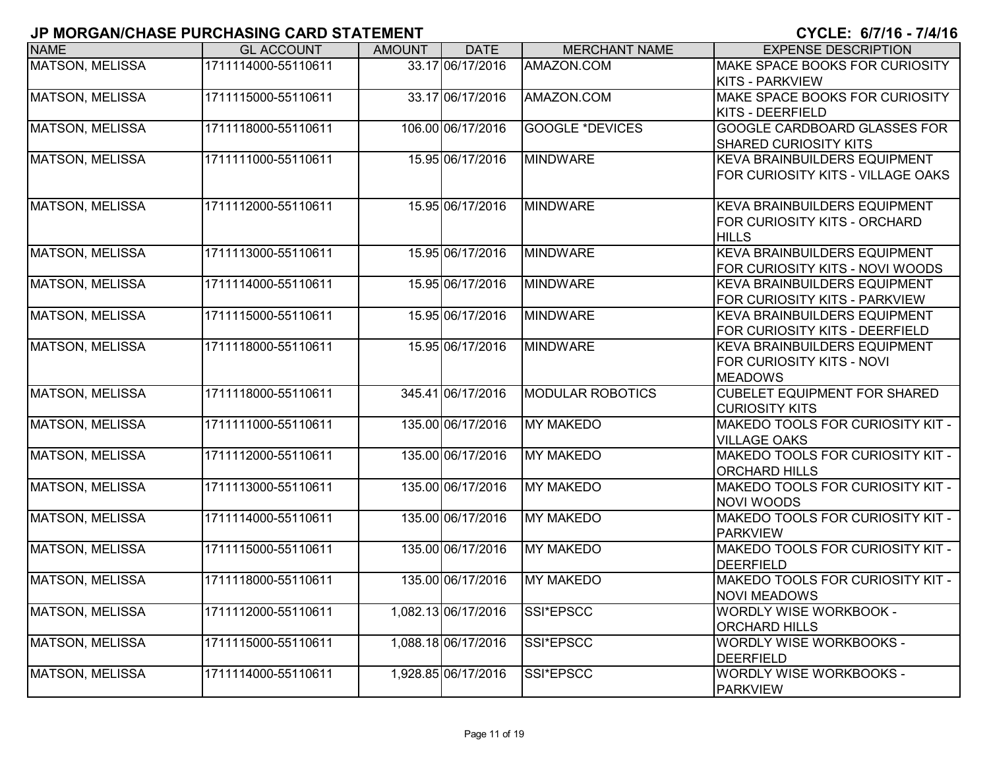# **JP MORGAN/CHASE PURCHASING CARD STATEMENT CYCLE: 6/7/16 - 7/4/1**

| <b>NAME</b>            | <b>GL ACCOUNT</b>   | <b>AMOUNT</b> | <b>DATE</b>         | <b>MERCHANT NAME</b>    | <b>EXPENSE DESCRIPTION</b>                                                          |
|------------------------|---------------------|---------------|---------------------|-------------------------|-------------------------------------------------------------------------------------|
| <b>MATSON, MELISSA</b> | 1711114000-55110611 |               | 33.17 06/17/2016    | AMAZON.COM              | MAKE SPACE BOOKS FOR CURIOSITY<br><b>KITS - PARKVIEW</b>                            |
| <b>MATSON, MELISSA</b> | 1711115000-55110611 |               | 33.17 06/17/2016    | AMAZON.COM              | MAKE SPACE BOOKS FOR CURIOSITY<br><b>KITS - DEERFIELD</b>                           |
| <b>MATSON, MELISSA</b> | 1711118000-55110611 |               | 106.00 06/17/2016   | <b>GOOGLE *DEVICES</b>  | <b>GOOGLE CARDBOARD GLASSES FOR</b><br><b>SHARED CURIOSITY KITS</b>                 |
| MATSON, MELISSA        | 1711111000-55110611 |               | 15.95 06/17/2016    | <b>MINDWARE</b>         | <b>KEVA BRAINBUILDERS EQUIPMENT</b><br>FOR CURIOSITY KITS - VILLAGE OAKS            |
| MATSON, MELISSA        | 1711112000-55110611 |               | 15.95 06/17/2016    | <b>MINDWARE</b>         | <b>KEVA BRAINBUILDERS EQUIPMENT</b><br>FOR CURIOSITY KITS - ORCHARD<br><b>HILLS</b> |
| MATSON, MELISSA        | 1711113000-55110611 |               | 15.95 06/17/2016    | <b>MINDWARE</b>         | KEVA BRAINBUILDERS EQUIPMENT<br>FOR CURIOSITY KITS - NOVI WOODS                     |
| <b>MATSON, MELISSA</b> | 1711114000-55110611 |               | 15.95 06/17/2016    | <b>MINDWARE</b>         | <b>KEVA BRAINBUILDERS EQUIPMENT</b><br>FOR CURIOSITY KITS - PARKVIEW                |
| <b>MATSON, MELISSA</b> | 1711115000-55110611 |               | 15.95 06/17/2016    | <b>MINDWARE</b>         | <b>KEVA BRAINBUILDERS EQUIPMENT</b><br>FOR CURIOSITY KITS - DEERFIELD               |
| MATSON, MELISSA        | 1711118000-55110611 |               | 15.95 06/17/2016    | <b>MINDWARE</b>         | KEVA BRAINBUILDERS EQUIPMENT<br>FOR CURIOSITY KITS - NOVI<br><b>MEADOWS</b>         |
| <b>MATSON, MELISSA</b> | 1711118000-55110611 |               | 345.41 06/17/2016   | <b>MODULAR ROBOTICS</b> | <b>CUBELET EQUIPMENT FOR SHARED</b><br><b>CURIOSITY KITS</b>                        |
| MATSON, MELISSA        | 1711111000-55110611 |               | 135.00 06/17/2016   | <b>MY MAKEDO</b>        | MAKEDO TOOLS FOR CURIOSITY KIT -<br><b>VILLAGE OAKS</b>                             |
| <b>MATSON, MELISSA</b> | 1711112000-55110611 |               | 135.00 06/17/2016   | <b>MY MAKEDO</b>        | MAKEDO TOOLS FOR CURIOSITY KIT -<br><b>ORCHARD HILLS</b>                            |
| <b>MATSON, MELISSA</b> | 1711113000-55110611 |               | 135.00 06/17/2016   | <b>MY MAKEDO</b>        | MAKEDO TOOLS FOR CURIOSITY KIT -<br>NOVI WOODS                                      |
| MATSON, MELISSA        | 1711114000-55110611 |               | 135.00 06/17/2016   | <b>MY MAKEDO</b>        | MAKEDO TOOLS FOR CURIOSITY KIT -<br><b>PARKVIEW</b>                                 |
| <b>MATSON, MELISSA</b> | 1711115000-55110611 |               | 135.00 06/17/2016   | <b>MY MAKEDO</b>        | MAKEDO TOOLS FOR CURIOSITY KIT -<br>DEERFIELD                                       |
| MATSON, MELISSA        | 1711118000-55110611 |               | 135.00 06/17/2016   | <b>MY MAKEDO</b>        | MAKEDO TOOLS FOR CURIOSITY KIT -<br><b>NOVI MEADOWS</b>                             |
| MATSON, MELISSA        | 1711112000-55110611 |               | 1,082.13 06/17/2016 | SSI*EPSCC               | <b>WORDLY WISE WORKBOOK -</b><br><b>ORCHARD HILLS</b>                               |
| MATSON, MELISSA        | 1711115000-55110611 |               | 1,088.18 06/17/2016 | SSI*EPSCC               | <b>WORDLY WISE WORKBOOKS -</b><br>DEERFIELD                                         |
| <b>MATSON, MELISSA</b> | 1711114000-55110611 |               | 1,928.85 06/17/2016 | SSI*EPSCC               | <b>WORDLY WISE WORKBOOKS -</b><br><b>PARKVIEW</b>                                   |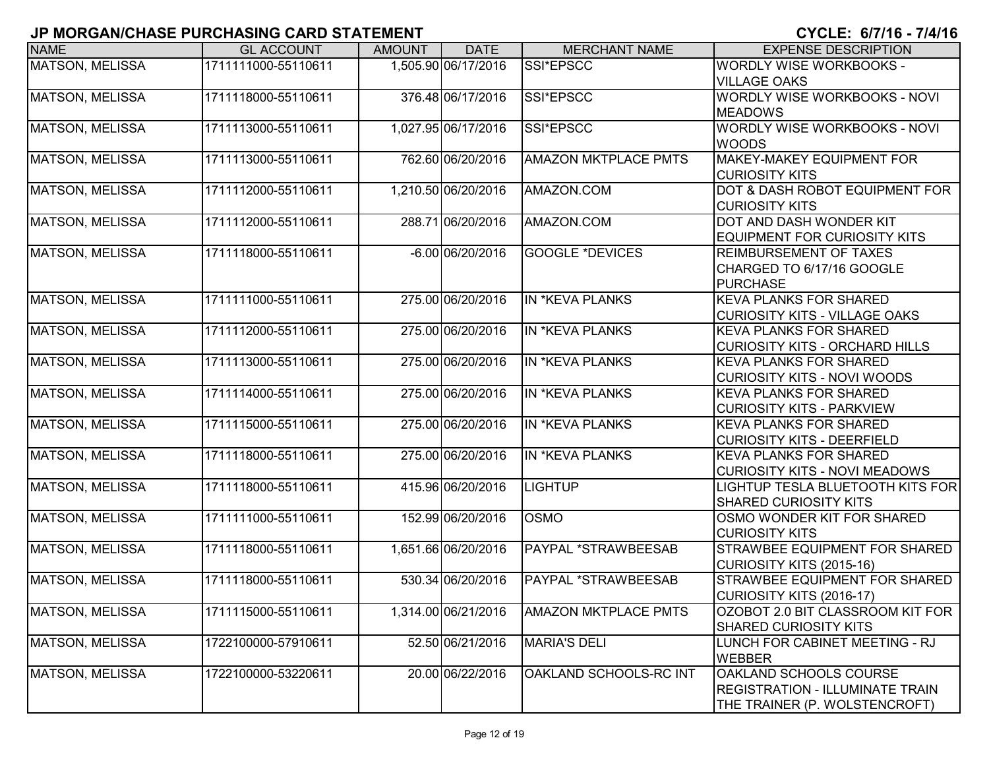| <b>NAME</b>            | <b>GL ACCOUNT</b>   | <b>AMOUNT</b> | <b>DATE</b>         | <b>MERCHANT NAME</b>        | <b>EXPENSE DESCRIPTION</b>                                                                               |
|------------------------|---------------------|---------------|---------------------|-----------------------------|----------------------------------------------------------------------------------------------------------|
| <b>MATSON, MELISSA</b> | 1711111000-55110611 |               | 1,505.90 06/17/2016 | SSI*EPSCC                   | <b>WORDLY WISE WORKBOOKS -</b>                                                                           |
| MATSON, MELISSA        | 1711118000-55110611 |               | 376.48 06/17/2016   | SSI*EPSCC                   | <b>VILLAGE OAKS</b><br><b>WORDLY WISE WORKBOOKS - NOVI</b><br><b>MEADOWS</b>                             |
| <b>MATSON, MELISSA</b> | 1711113000-55110611 |               | 1,027.95 06/17/2016 | SSI*EPSCC                   | WORDLY WISE WORKBOOKS - NOVI<br><b>WOODS</b>                                                             |
| <b>MATSON, MELISSA</b> | 1711113000-55110611 |               | 762.60 06/20/2016   | <b>AMAZON MKTPLACE PMTS</b> | MAKEY-MAKEY EQUIPMENT FOR<br><b>CURIOSITY KITS</b>                                                       |
| MATSON, MELISSA        | 1711112000-55110611 |               | 1,210.50 06/20/2016 | AMAZON.COM                  | DOT & DASH ROBOT EQUIPMENT FOR<br><b>CURIOSITY KITS</b>                                                  |
| MATSON, MELISSA        | 1711112000-55110611 |               | 288.71 06/20/2016   | AMAZON.COM                  | DOT AND DASH WONDER KIT<br><b>EQUIPMENT FOR CURIOSITY KITS</b>                                           |
| MATSON, MELISSA        | 1711118000-55110611 |               | $-6.00 06/20/2016$  | <b>GOOGLE *DEVICES</b>      | <b>REIMBURSEMENT OF TAXES</b><br>CHARGED TO 6/17/16 GOOGLE<br><b>PURCHASE</b>                            |
| MATSON, MELISSA        | 1711111000-55110611 |               | 275.00 06/20/2016   | IN *KEVA PLANKS             | <b>KEVA PLANKS FOR SHARED</b><br><b>CURIOSITY KITS - VILLAGE OAKS</b>                                    |
| <b>MATSON, MELISSA</b> | 1711112000-55110611 |               | 275.00 06/20/2016   | <b>IN *KEVA PLANKS</b>      | <b>KEVA PLANKS FOR SHARED</b><br><b>CURIOSITY KITS - ORCHARD HILLS</b>                                   |
| <b>MATSON, MELISSA</b> | 1711113000-55110611 |               | 275.00 06/20/2016   | IN *KEVA PLANKS             | <b>KEVA PLANKS FOR SHARED</b><br><b>CURIOSITY KITS - NOVI WOODS</b>                                      |
| MATSON, MELISSA        | 1711114000-55110611 |               | 275.00 06/20/2016   | IN *KEVA PLANKS             | <b>KEVA PLANKS FOR SHARED</b><br><b>CURIOSITY KITS - PARKVIEW</b>                                        |
| <b>MATSON, MELISSA</b> | 1711115000-55110611 |               | 275.00 06/20/2016   | IN *KEVA PLANKS             | <b>KEVA PLANKS FOR SHARED</b><br><b>CURIOSITY KITS - DEERFIELD</b>                                       |
| <b>MATSON, MELISSA</b> | 1711118000-55110611 |               | 275.00 06/20/2016   | IN *KEVA PLANKS             | <b>KEVA PLANKS FOR SHARED</b><br><b>CURIOSITY KITS - NOVI MEADOWS</b>                                    |
| MATSON, MELISSA        | 1711118000-55110611 |               | 415.96 06/20/2016   | <b>LIGHTUP</b>              | LIGHTUP TESLA BLUETOOTH KITS FOR<br><b>SHARED CURIOSITY KITS</b>                                         |
| MATSON, MELISSA        | 1711111000-55110611 |               | 152.99 06/20/2016   | <b>OSMO</b>                 | OSMO WONDER KIT FOR SHARED<br><b>CURIOSITY KITS</b>                                                      |
| <b>MATSON, MELISSA</b> | 1711118000-55110611 |               | 1,651.66 06/20/2016 | PAYPAL *STRAWBEESAB         | <b>STRAWBEE EQUIPMENT FOR SHARED</b><br>CURIOSITY KITS (2015-16)                                         |
| MATSON, MELISSA        | 1711118000-55110611 |               | 530.34 06/20/2016   | PAYPAL *STRAWBEESAB         | <b>STRAWBEE EQUIPMENT FOR SHARED</b><br>CURIOSITY KITS (2016-17)                                         |
| MATSON, MELISSA        | 1711115000-55110611 |               | 1,314.00 06/21/2016 | <b>AMAZON MKTPLACE PMTS</b> | OZOBOT 2.0 BIT CLASSROOM KIT FOR<br><b>SHARED CURIOSITY KITS</b>                                         |
| MATSON, MELISSA        | 1722100000-57910611 |               | 52.50 06/21/2016    | <b>MARIA'S DELI</b>         | LUNCH FOR CABINET MEETING - RJ<br><b>WEBBER</b>                                                          |
| <b>MATSON, MELISSA</b> | 1722100000-53220611 |               | 20.00 06/22/2016    | OAKLAND SCHOOLS-RC INT      | <b>OAKLAND SCHOOLS COURSE</b><br><b>REGISTRATION - ILLUMINATE TRAIN</b><br>THE TRAINER (P. WOLSTENCROFT) |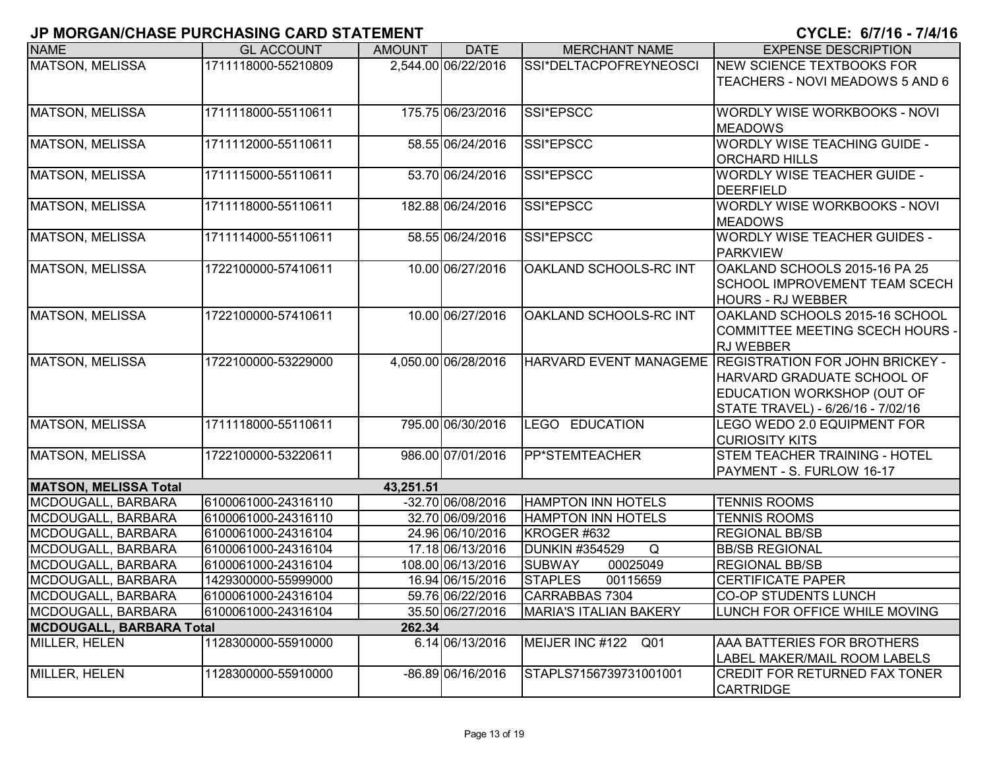| <b>NAME</b>                                     | <b>GL ACCOUNT</b>                          | <b>AMOUNT</b> | <b>DATE</b>                          | <b>MERCHANT NAME</b>                        | <b>EXPENSE DESCRIPTION</b>                                  |
|-------------------------------------------------|--------------------------------------------|---------------|--------------------------------------|---------------------------------------------|-------------------------------------------------------------|
| <b>MATSON, MELISSA</b>                          | 1711118000-55210809                        |               | 2,544.00 06/22/2016                  | SSI*DELTACPOFREYNEOSCI                      | <b>NEW SCIENCE TEXTBOOKS FOR</b>                            |
|                                                 |                                            |               |                                      |                                             | TEACHERS - NOVI MEADOWS 5 AND 6                             |
|                                                 |                                            |               |                                      |                                             |                                                             |
| <b>MATSON, MELISSA</b>                          | 1711118000-55110611                        |               | 175.75 06/23/2016                    | SSI*EPSCC                                   | WORDLY WISE WORKBOOKS - NOVI                                |
|                                                 |                                            |               |                                      |                                             | <b>MEADOWS</b>                                              |
| <b>MATSON, MELISSA</b>                          | 1711112000-55110611                        |               | 58.55 06/24/2016                     | SSI*EPSCC                                   | <b>WORDLY WISE TEACHING GUIDE -</b><br><b>ORCHARD HILLS</b> |
| MATSON, MELISSA                                 | 1711115000-55110611                        |               | 53.70 06/24/2016                     | SSI*EPSCC                                   | <b>WORDLY WISE TEACHER GUIDE -</b>                          |
|                                                 |                                            |               |                                      |                                             | DEERFIELD                                                   |
| <b>MATSON, MELISSA</b>                          | 1711118000-55110611                        |               | 182.88 06/24/2016                    | SSI*EPSCC                                   | WORDLY WISE WORKBOOKS - NOVI                                |
|                                                 |                                            |               |                                      |                                             | <b>MEADOWS</b>                                              |
| <b>MATSON, MELISSA</b>                          | 1711114000-55110611                        |               | 58.55 06/24/2016                     | SSI*EPSCC                                   | <b>WORDLY WISE TEACHER GUIDES -</b>                         |
|                                                 |                                            |               |                                      |                                             | PARKVIEW                                                    |
| <b>MATSON, MELISSA</b>                          | 1722100000-57410611                        |               | 10.00 06/27/2016                     | OAKLAND SCHOOLS-RC INT                      | OAKLAND SCHOOLS 2015-16 PA 25                               |
|                                                 |                                            |               |                                      |                                             | <b>SCHOOL IMPROVEMENT TEAM SCECH</b>                        |
|                                                 |                                            |               |                                      |                                             | <b>HOURS - RJ WEBBER</b>                                    |
| <b>MATSON, MELISSA</b>                          | 1722100000-57410611                        |               | 10.00 06/27/2016                     | OAKLAND SCHOOLS-RC INT                      | OAKLAND SCHOOLS 2015-16 SCHOOL                              |
|                                                 |                                            |               |                                      |                                             | COMMITTEE MEETING SCECH HOURS -                             |
|                                                 |                                            |               |                                      |                                             | <b>RJ WEBBER</b>                                            |
| MATSON, MELISSA                                 | 1722100000-53229000                        |               | 4,050.00 06/28/2016                  |                                             | HARVARD EVENT MANAGEME REGISTRATION FOR JOHN BRICKEY -      |
|                                                 |                                            |               |                                      |                                             | HARVARD GRADUATE SCHOOL OF                                  |
|                                                 |                                            |               |                                      |                                             | EDUCATION WORKSHOP (OUT OF                                  |
|                                                 |                                            |               |                                      |                                             | STATE TRAVEL) - 6/26/16 - 7/02/16                           |
| MATSON, MELISSA                                 | 1711118000-55110611                        |               | 795.00 06/30/2016                    | LEGO EDUCATION                              | LEGO WEDO 2.0 EQUIPMENT FOR                                 |
|                                                 |                                            |               |                                      |                                             | <b>CURIOSITY KITS</b>                                       |
| <b>MATSON, MELISSA</b>                          | 1722100000-53220611                        |               | 986.00 07/01/2016                    | PP*STEMTEACHER                              | <b>STEM TEACHER TRAINING - HOTEL</b>                        |
|                                                 |                                            |               |                                      |                                             | PAYMENT - S. FURLOW 16-17                                   |
| <b>MATSON, MELISSA Total</b>                    |                                            | 43,251.51     |                                      |                                             |                                                             |
| MCDOUGALL, BARBARA                              | 6100061000-24316110                        |               | -32.70 06/08/2016                    | <b>HAMPTON INN HOTELS</b>                   | <b>TENNIS ROOMS</b>                                         |
| MCDOUGALL, BARBARA                              | 6100061000-24316110                        |               | 32.70 06/09/2016                     | <b>HAMPTON INN HOTELS</b>                   | <b>TENNIS ROOMS</b>                                         |
| MCDOUGALL, BARBARA                              | 6100061000-24316104                        |               | 24.96 06/10/2016                     | KROGER #632                                 | <b>REGIONAL BB/SB</b>                                       |
| MCDOUGALL, BARBARA                              | 6100061000-24316104                        |               | 17.18 06/13/2016                     | Q<br><b>DUNKIN #354529</b>                  | <b>BB/SB REGIONAL</b>                                       |
| MCDOUGALL, BARBARA                              | 6100061000-24316104<br>1429300000-55999000 |               | 108.00 06/13/2016                    | <b>SUBWAY</b><br>00025049<br><b>STAPLES</b> | <b>REGIONAL BB/SB</b>                                       |
| MCDOUGALL, BARBARA<br><b>MCDOUGALL, BARBARA</b> |                                            |               | 16.94 06/15/2016<br>59.76 06/22/2016 | 00115659<br>CARRABBAS 7304                  | <b>CERTIFICATE PAPER</b><br><b>CO-OP STUDENTS LUNCH</b>     |
| MCDOUGALL, BARBARA                              | 6100061000-24316104<br>6100061000-24316104 |               | 35.50 06/27/2016                     | <b>MARIA'S ITALIAN BAKERY</b>               | LUNCH FOR OFFICE WHILE MOVING                               |
| <b>MCDOUGALL, BARBARA Total</b>                 |                                            | 262.34        |                                      |                                             |                                                             |
| MILLER, HELEN                                   | 1128300000-55910000                        |               | 6.14 06/13/2016                      | MEIJER INC #122<br>Q01                      | <b>AAA BATTERIES FOR BROTHERS</b>                           |
|                                                 |                                            |               |                                      |                                             | LABEL MAKER/MAIL ROOM LABELS                                |
| <b>MILLER, HELEN</b>                            | 1128300000-55910000                        |               | -86.89 06/16/2016                    | STAPLS7156739731001001                      | <b>CREDIT FOR RETURNED FAX TONER</b>                        |
|                                                 |                                            |               |                                      |                                             | <b>CARTRIDGE</b>                                            |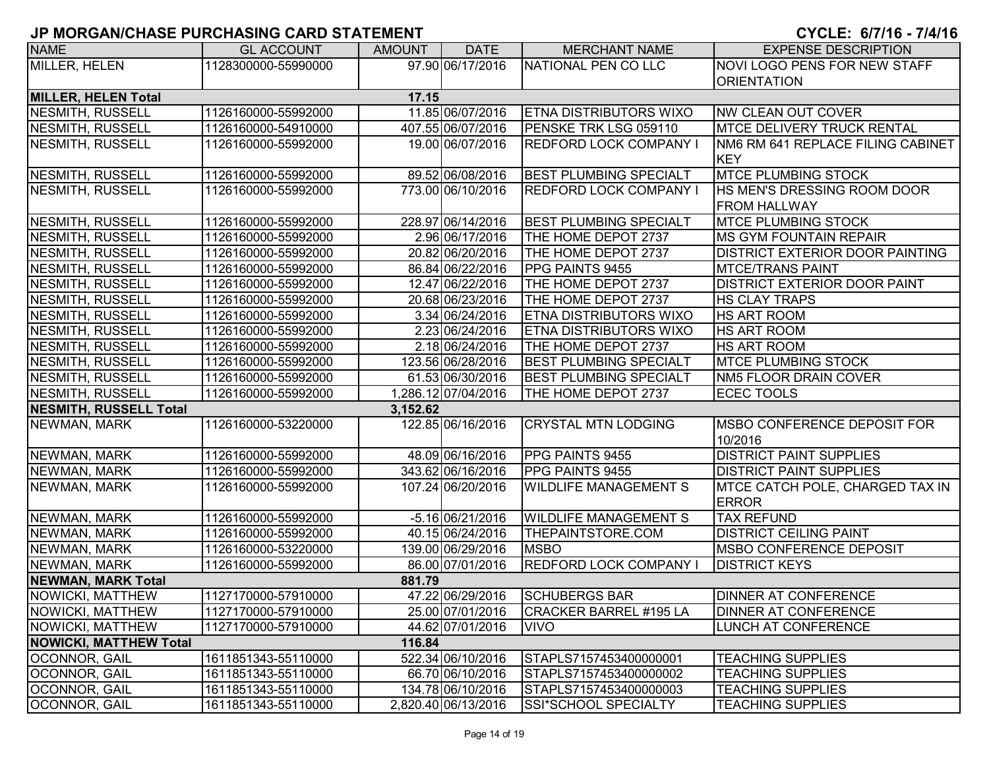| <b>NAME</b>                   | <b>GL ACCOUNT</b>   | <b>AMOUNT</b> | <b>DATE</b>         | <b>MERCHANT NAME</b>          | <b>EXPENSE DESCRIPTION</b>             |
|-------------------------------|---------------------|---------------|---------------------|-------------------------------|----------------------------------------|
| MILLER, HELEN                 | 1128300000-55990000 |               | 97.90 06/17/2016    | NATIONAL PEN CO LLC           | <b>NOVI LOGO PENS FOR NEW STAFF</b>    |
|                               |                     |               |                     |                               | <b>ORIENTATION</b>                     |
| <b>MILLER, HELEN Total</b>    |                     | 17.15         |                     |                               |                                        |
| <b>NESMITH, RUSSELL</b>       | 1126160000-55992000 |               | 11.85 06/07/2016    | ETNA DISTRIBUTORS WIXO        | NW CLEAN OUT COVER                     |
| NESMITH, RUSSELL              | 1126160000-54910000 |               | 407.55 06/07/2016   | PENSKE TRK LSG 059110         | <b>IMTCE DELIVERY TRUCK RENTAL</b>     |
| NESMITH, RUSSELL              | 1126160000-55992000 |               | 19.00 06/07/2016    | <b>REDFORD LOCK COMPANY I</b> | NM6 RM 641 REPLACE FILING CABINET      |
|                               |                     |               |                     |                               | <b>KEY</b>                             |
| NESMITH, RUSSELL              | 1126160000-55992000 |               | 89.52 06/08/2016    | <b>BEST PLUMBING SPECIALT</b> | <b>MTCE PLUMBING STOCK</b>             |
| NESMITH, RUSSELL              | 1126160000-55992000 |               | 773.00 06/10/2016   | <b>REDFORD LOCK COMPANY I</b> | HS MEN'S DRESSING ROOM DOOR            |
|                               |                     |               |                     |                               | <b>FROM HALLWAY</b>                    |
| NESMITH, RUSSELL              | 1126160000-55992000 |               | 228.97 06/14/2016   | <b>BEST PLUMBING SPECIALT</b> | <b>MTCE PLUMBING STOCK</b>             |
| NESMITH, RUSSELL              | 1126160000-55992000 |               | 2.96 06/17/2016     | THE HOME DEPOT 2737           | <b>MS GYM FOUNTAIN REPAIR</b>          |
| NESMITH, RUSSELL              | 1126160000-55992000 |               | 20.82 06/20/2016    | THE HOME DEPOT 2737           | <b>DISTRICT EXTERIOR DOOR PAINTING</b> |
| NESMITH, RUSSELL              | 1126160000-55992000 |               | 86.84 06/22/2016    | PPG PAINTS 9455               | <b>MTCE/TRANS PAINT</b>                |
| NESMITH, RUSSELL              | 1126160000-55992000 |               | 12.47 06/22/2016    | THE HOME DEPOT 2737           | <b>DISTRICT EXTERIOR DOOR PAINT</b>    |
| NESMITH, RUSSELL              | 1126160000-55992000 |               | 20.68 06/23/2016    | THE HOME DEPOT 2737           | <b>HS CLAY TRAPS</b>                   |
| NESMITH, RUSSELL              | 1126160000-55992000 |               | 3.34 06/24/2016     | ETNA DISTRIBUTORS WIXO        | <b>HS ART ROOM</b>                     |
| NESMITH, RUSSELL              | 1126160000-55992000 |               | 2.23 06/24/2016     | ETNA DISTRIBUTORS WIXO        | <b>HS ART ROOM</b>                     |
| NESMITH, RUSSELL              | 1126160000-55992000 |               | 2.18 06/24/2016     | THE HOME DEPOT 2737           | <b>HS ART ROOM</b>                     |
| NESMITH, RUSSELL              | 1126160000-55992000 |               | 123.56 06/28/2016   | <b>BEST PLUMBING SPECIALT</b> | <b>MTCE PLUMBING STOCK</b>             |
| NESMITH, RUSSELL              | 1126160000-55992000 |               | 61.53 06/30/2016    | <b>BEST PLUMBING SPECIALT</b> | <b>NM5 FLOOR DRAIN COVER</b>           |
| NESMITH, RUSSELL              | 1126160000-55992000 |               | 1,286.12 07/04/2016 | THE HOME DEPOT 2737           | <b>ECEC TOOLS</b>                      |
| <b>NESMITH, RUSSELL Total</b> |                     | 3,152.62      |                     |                               |                                        |
| NEWMAN, MARK                  | 1126160000-53220000 |               | 122.85 06/16/2016   | <b>CRYSTAL MTN LODGING</b>    | <b>IMSBO CONFERENCE DEPOSIT FOR</b>    |
|                               |                     |               |                     |                               | 10/2016                                |
| NEWMAN, MARK                  | 1126160000-55992000 |               | 48.09 06/16/2016    | <b>PPG PAINTS 9455</b>        | <b>DISTRICT PAINT SUPPLIES</b>         |
| NEWMAN, MARK                  | 1126160000-55992000 |               | 343.62 06/16/2016   | PPG PAINTS 9455               | <b>DISTRICT PAINT SUPPLIES</b>         |
| NEWMAN, MARK                  | 1126160000-55992000 |               | 107.24 06/20/2016   | <b>WILDLIFE MANAGEMENT S</b>  | MTCE CATCH POLE, CHARGED TAX IN        |
|                               |                     |               |                     |                               | <b>ERROR</b>                           |
| NEWMAN, MARK                  | 1126160000-55992000 |               | -5.16 06/21/2016    | <b>WILDLIFE MANAGEMENT S</b>  | <b>TAX REFUND</b>                      |
| NEWMAN, MARK                  | 1126160000-55992000 |               | 40.15 06/24/2016    | THEPAINTSTORE.COM             | <b>DISTRICT CEILING PAINT</b>          |
| NEWMAN, MARK                  | 1126160000-53220000 |               | 139.00 06/29/2016   | <b>MSBO</b>                   | <b>IMSBO CONFERENCE DEPOSIT</b>        |
| NEWMAN, MARK                  | 1126160000-55992000 |               | 86.00 07/01/2016    | <b>REDFORD LOCK COMPANY I</b> | <b>DISTRICT KEYS</b>                   |
| <b>NEWMAN, MARK Total</b>     |                     | 881.79        |                     |                               |                                        |
| NOWICKI, MATTHEW              | 1127170000-57910000 |               | 47.22 06/29/2016    | <b>SCHUBERGS BAR</b>          | <b>DINNER AT CONFERENCE</b>            |
| NOWICKI, MATTHEW              | 1127170000-57910000 |               | 25.00 07/01/2016    | CRACKER BARREL #195 LA        | <b>DINNER AT CONFERENCE</b>            |
| NOWICKI, MATTHEW              | 1127170000-57910000 |               | 44.62 07/01/2016    | <b>VIVO</b>                   | <b>LUNCH AT CONFERENCE</b>             |
| <b>NOWICKI, MATTHEW Total</b> |                     | 116.84        |                     |                               |                                        |
| OCONNOR, GAIL                 | 1611851343-55110000 |               | 522.34 06/10/2016   | STAPLS7157453400000001        | <b>TEACHING SUPPLIES</b>               |
| OCONNOR, GAIL                 | 1611851343-55110000 |               | 66.70 06/10/2016    | STAPLS7157453400000002        | <b>TEACHING SUPPLIES</b>               |
| OCONNOR, GAIL                 | 1611851343-55110000 |               | 134.78 06/10/2016   | STAPLS7157453400000003        | <b>TEACHING SUPPLIES</b>               |
| OCONNOR, GAIL                 | 1611851343-55110000 |               | 2,820.40 06/13/2016 | SSI*SCHOOL SPECIALTY          | <b>TEACHING SUPPLIES</b>               |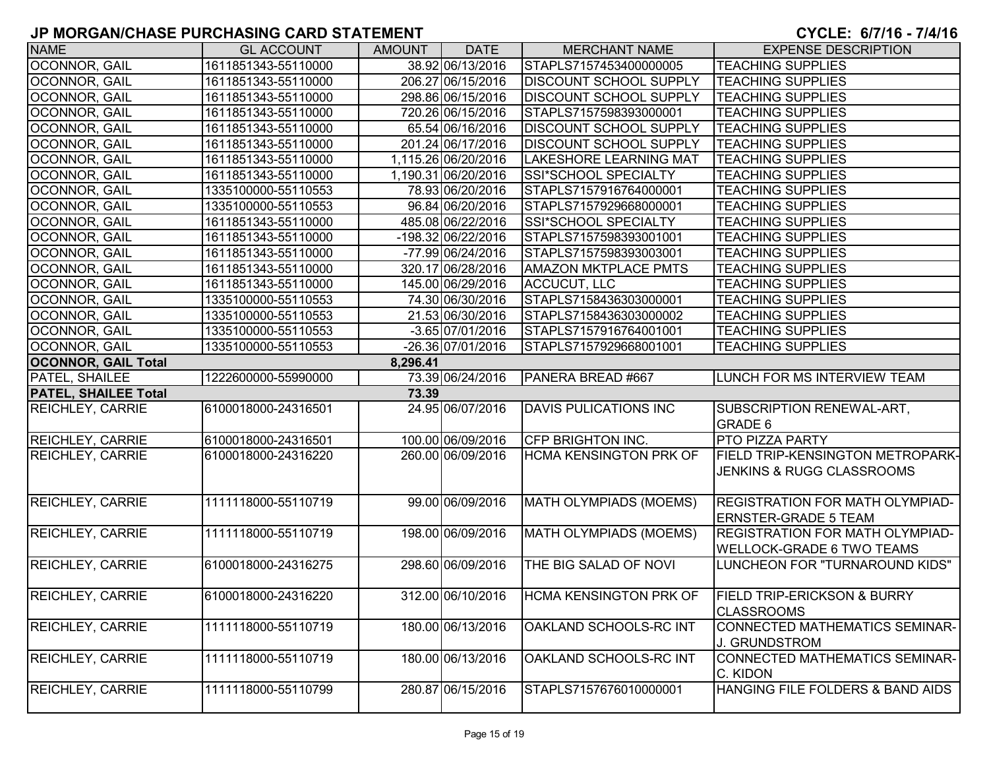| <b>NAME</b>                 | <b>GL ACCOUNT</b>   | <b>AMOUNT</b> | <b>DATE</b>         | <b>MERCHANT NAME</b>          | <b>EXPENSE DESCRIPTION</b>                                                 |
|-----------------------------|---------------------|---------------|---------------------|-------------------------------|----------------------------------------------------------------------------|
| OCONNOR, GAIL               | 1611851343-55110000 |               | 38.92 06/13/2016    | STAPLS7157453400000005        | <b>TEACHING SUPPLIES</b>                                                   |
| OCONNOR, GAIL               | 1611851343-55110000 |               | 206.27 06/15/2016   | <b>DISCOUNT SCHOOL SUPPLY</b> | <b>TEACHING SUPPLIES</b>                                                   |
| OCONNOR, GAIL               | 1611851343-55110000 |               | 298.86 06/15/2016   | <b>DISCOUNT SCHOOL SUPPLY</b> | <b>TEACHING SUPPLIES</b>                                                   |
| OCONNOR, GAIL               | 1611851343-55110000 |               | 720.26 06/15/2016   | STAPLS7157598393000001        | <b>TEACHING SUPPLIES</b>                                                   |
| <b>OCONNOR, GAIL</b>        | 1611851343-55110000 |               | 65.54 06/16/2016    | <b>DISCOUNT SCHOOL SUPPLY</b> | <b>TEACHING SUPPLIES</b>                                                   |
| OCONNOR, GAIL               | 1611851343-55110000 |               | 201.24 06/17/2016   | <b>DISCOUNT SCHOOL SUPPLY</b> | <b>TEACHING SUPPLIES</b>                                                   |
| OCONNOR, GAIL               | 1611851343-55110000 |               | 1,115.26 06/20/2016 | <b>LAKESHORE LEARNING MAT</b> | <b>TEACHING SUPPLIES</b>                                                   |
| OCONNOR, GAIL               | 1611851343-55110000 |               | 1,190.31 06/20/2016 | SSI*SCHOOL SPECIALTY          | <b>TEACHING SUPPLIES</b>                                                   |
| <b>OCONNOR, GAIL</b>        | 1335100000-55110553 |               | 78.93 06/20/2016    | STAPLS7157916764000001        | <b>TEACHING SUPPLIES</b>                                                   |
| OCONNOR, GAIL               | 1335100000-55110553 |               | 96.84 06/20/2016    | STAPLS7157929668000001        | <b>TEACHING SUPPLIES</b>                                                   |
| OCONNOR, GAIL               | 1611851343-55110000 |               | 485.08 06/22/2016   | SSI*SCHOOL SPECIALTY          | <b>TEACHING SUPPLIES</b>                                                   |
| OCONNOR, GAIL               | 1611851343-55110000 |               | -198.32 06/22/2016  | STAPLS7157598393001001        | <b>TEACHING SUPPLIES</b>                                                   |
| OCONNOR, GAIL               | 1611851343-55110000 |               | -77.99 06/24/2016   | STAPLS7157598393003001        | <b>TEACHING SUPPLIES</b>                                                   |
| OCONNOR, GAIL               | 1611851343-55110000 |               | 320.17 06/28/2016   | <b>AMAZON MKTPLACE PMTS</b>   | <b>TEACHING SUPPLIES</b>                                                   |
| OCONNOR, GAIL               | 1611851343-55110000 |               | 145.00 06/29/2016   | <b>ACCUCUT, LLC</b>           | <b>TEACHING SUPPLIES</b>                                                   |
| OCONNOR, GAIL               | 1335100000-55110553 |               | 74.30 06/30/2016    | STAPLS7158436303000001        | <b>TEACHING SUPPLIES</b>                                                   |
| OCONNOR, GAIL               | 1335100000-55110553 |               | 21.53 06/30/2016    | STAPLS7158436303000002        | <b>TEACHING SUPPLIES</b>                                                   |
| <b>OCONNOR, GAIL</b>        | 1335100000-55110553 |               | $-3.65$ 07/01/2016  | STAPLS7157916764001001        | <b>TEACHING SUPPLIES</b>                                                   |
| <b>OCONNOR, GAIL</b>        | 1335100000-55110553 |               | -26.36 07/01/2016   | STAPLS7157929668001001        | <b>TEACHING SUPPLIES</b>                                                   |
| <b>OCONNOR, GAIL Total</b>  |                     | 8,296.41      |                     |                               |                                                                            |
| <b>PATEL, SHAILEE</b>       | 1222600000-55990000 |               | 73.39 06/24/2016    | PANERA BREAD #667             | <b>LUNCH FOR MS INTERVIEW TEAM</b>                                         |
| <b>PATEL, SHAILEE Total</b> |                     | 73.39         |                     |                               |                                                                            |
| <b>REICHLEY, CARRIE</b>     | 6100018000-24316501 |               | 24.95 06/07/2016    | <b>DAVIS PULICATIONS INC</b>  | SUBSCRIPTION RENEWAL-ART,<br><b>GRADE 6</b>                                |
| <b>REICHLEY, CARRIE</b>     | 6100018000-24316501 |               | 100.00 06/09/2016   | <b>CFP BRIGHTON INC.</b>      | <b>PTO PIZZA PARTY</b>                                                     |
| <b>REICHLEY, CARRIE</b>     | 6100018000-24316220 |               | 260.00 06/09/2016   | <b>HCMA KENSINGTON PRK OF</b> | <b>FIELD TRIP-KENSINGTON METROPARK-</b><br>JENKINS & RUGG CLASSROOMS       |
| <b>REICHLEY, CARRIE</b>     | 1111118000-55110719 |               | 99.00 06/09/2016    | MATH OLYMPIADS (MOEMS)        | <b>REGISTRATION FOR MATH OLYMPIAD-</b><br><b>ERNSTER-GRADE 5 TEAM</b>      |
| <b>REICHLEY, CARRIE</b>     | 1111118000-55110719 |               | 198.00 06/09/2016   | MATH OLYMPIADS (MOEMS)        | <b>REGISTRATION FOR MATH OLYMPIAD-</b><br><b>WELLOCK-GRADE 6 TWO TEAMS</b> |
| <b>REICHLEY, CARRIE</b>     | 6100018000-24316275 |               | 298.60 06/09/2016   | THE BIG SALAD OF NOVI         | LUNCHEON FOR "TURNAROUND KIDS"                                             |
| <b>REICHLEY, CARRIE</b>     | 6100018000-24316220 |               | 312.00 06/10/2016   |                               | HCMA KENSINGTON PRK OF FIELD TRIP-ERICKSON & BURRY<br><b>CLASSROOMS</b>    |
| <b>REICHLEY, CARRIE</b>     | 1111118000-55110719 |               | 180.00 06/13/2016   | OAKLAND SCHOOLS-RC INT        | CONNECTED MATHEMATICS SEMINAR-<br><b>J. GRUNDSTROM</b>                     |
| <b>REICHLEY, CARRIE</b>     | 1111118000-55110719 |               | 180.00 06/13/2016   | OAKLAND SCHOOLS-RC INT        | CONNECTED MATHEMATICS SEMINAR-<br>C. KIDON                                 |
| <b>REICHLEY, CARRIE</b>     | 1111118000-55110799 |               | 280.87 06/15/2016   | STAPLS7157676010000001        | HANGING FILE FOLDERS & BAND AIDS                                           |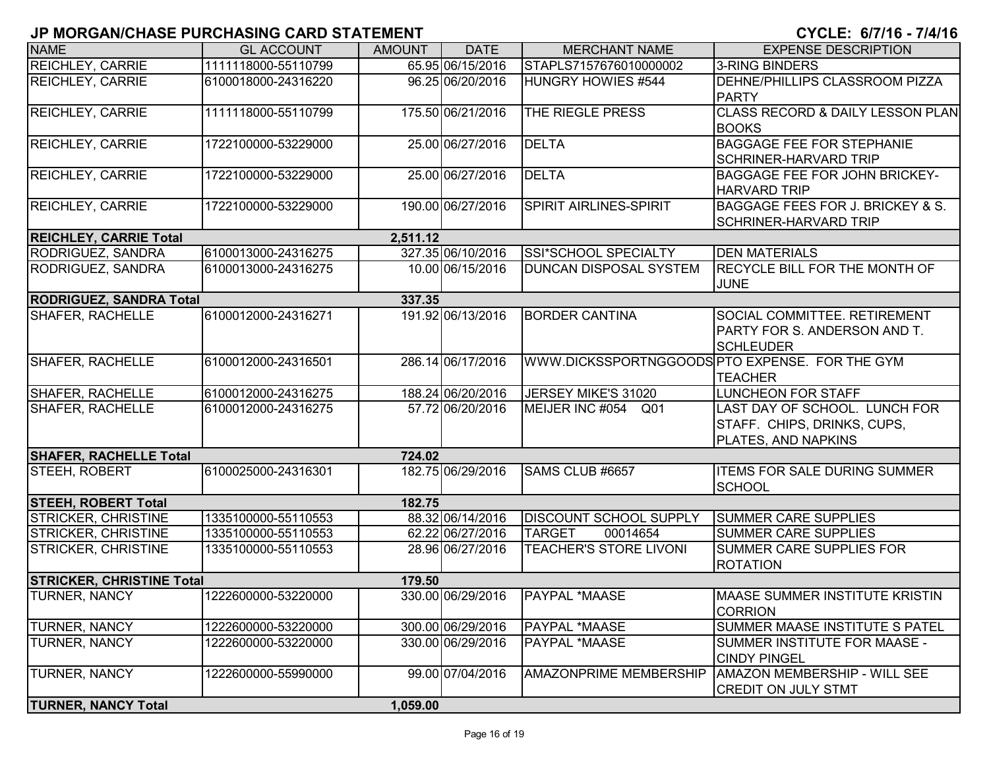| <b>NAME</b>                      | <b>GL ACCOUNT</b>   | <b>AMOUNT</b> | <b>DATE</b>       | <b>MERCHANT NAME</b>          | <b>EXPENSE DESCRIPTION</b>                                                          |
|----------------------------------|---------------------|---------------|-------------------|-------------------------------|-------------------------------------------------------------------------------------|
| <b>REICHLEY, CARRIE</b>          | 1111118000-55110799 |               | 65.95 06/15/2016  | STAPLS7157676010000002        | 3-RING BINDERS                                                                      |
| <b>REICHLEY, CARRIE</b>          | 6100018000-24316220 |               | 96.25 06/20/2016  | HUNGRY HOWIES #544            | <b>IDEHNE/PHILLIPS CLASSROOM PIZZA</b><br><b>PARTY</b>                              |
| <b>REICHLEY, CARRIE</b>          | 1111118000-55110799 |               | 175.50 06/21/2016 | THE RIEGLE PRESS              | <b>CLASS RECORD &amp; DAILY LESSON PLAN</b><br><b>BOOKS</b>                         |
| <b>REICHLEY, CARRIE</b>          | 1722100000-53229000 |               | 25.00 06/27/2016  | <b>DELTA</b>                  | <b>BAGGAGE FEE FOR STEPHANIE</b><br><b>SCHRINER-HARVARD TRIP</b>                    |
| <b>REICHLEY, CARRIE</b>          | 1722100000-53229000 |               | 25.00 06/27/2016  | <b>DELTA</b>                  | <b>BAGGAGE FEE FOR JOHN BRICKEY-</b><br><b>HARVARD TRIP</b>                         |
| <b>REICHLEY, CARRIE</b>          | 1722100000-53229000 |               | 190.00 06/27/2016 | <b>SPIRIT AIRLINES-SPIRIT</b> | BAGGAGE FEES FOR J. BRICKEY & S.<br><b>SCHRINER-HARVARD TRIP</b>                    |
| <b>REICHLEY, CARRIE Total</b>    |                     | 2,511.12      |                   |                               |                                                                                     |
| <b>RODRIGUEZ, SANDRA</b>         | 6100013000-24316275 |               | 327.35 06/10/2016 | SSI*SCHOOL SPECIALTY          | <b>DEN MATERIALS</b>                                                                |
| RODRIGUEZ, SANDRA                | 6100013000-24316275 |               | 10.00 06/15/2016  | <b>DUNCAN DISPOSAL SYSTEM</b> | <b>RECYCLE BILL FOR THE MONTH OF</b><br><b>JUNE</b>                                 |
| <b>RODRIGUEZ, SANDRA Total</b>   |                     | 337.35        |                   |                               |                                                                                     |
| SHAFER, RACHELLE                 | 6100012000-24316271 |               | 191.92 06/13/2016 | <b>BORDER CANTINA</b>         | SOCIAL COMMITTEE. RETIREMENT<br>PARTY FOR S. ANDERSON AND T.<br><b>SCHLEUDER</b>    |
| SHAFER, RACHELLE                 | 6100012000-24316501 |               | 286.14 06/17/2016 |                               | WWW.DICKSSPORTNGGOODS PTO EXPENSE. FOR THE GYM<br><b>TEACHER</b>                    |
| <b>SHAFER, RACHELLE</b>          | 6100012000-24316275 |               | 188.24 06/20/2016 | JERSEY MIKE'S 31020           | LUNCHEON FOR STAFF                                                                  |
| <b>SHAFER, RACHELLE</b>          | 6100012000-24316275 |               | 57.72 06/20/2016  | MEIJER INC #054 Q01           | LAST DAY OF SCHOOL. LUNCH FOR<br>STAFF. CHIPS, DRINKS, CUPS,<br>PLATES, AND NAPKINS |
| <b>SHAFER, RACHELLE Total</b>    |                     | 724.02        |                   |                               |                                                                                     |
| STEEH, ROBERT                    | 6100025000-24316301 |               | 182.75 06/29/2016 | SAMS CLUB #6657               | <b>ITEMS FOR SALE DURING SUMMER</b><br><b>SCHOOL</b>                                |
| <b>STEEH, ROBERT Total</b>       |                     | 182.75        |                   |                               |                                                                                     |
| <b>STRICKER, CHRISTINE</b>       | 1335100000-55110553 |               | 88.32 06/14/2016  | <b>DISCOUNT SCHOOL SUPPLY</b> | <b>SUMMER CARE SUPPLIES</b>                                                         |
| <b>STRICKER, CHRISTINE</b>       | 1335100000-55110553 |               | 62.22 06/27/2016  | 00014654<br><b>TARGET</b>     | <b>SUMMER CARE SUPPLIES</b>                                                         |
| <b>STRICKER, CHRISTINE</b>       | 1335100000-55110553 |               | 28.96 06/27/2016  | <b>TEACHER'S STORE LIVONI</b> | <b>SUMMER CARE SUPPLIES FOR</b><br><b>ROTATION</b>                                  |
| <b>STRICKER, CHRISTINE Total</b> |                     | 179.50        |                   |                               |                                                                                     |
| <b>TURNER, NANCY</b>             | 1222600000-53220000 |               | 330.00 06/29/2016 | <b>PAYPAL *MAASE</b>          | <b>IMAASE SUMMER INSTITUTE KRISTIN</b><br><b>CORRION</b>                            |
| <b>TURNER, NANCY</b>             | 1222600000-53220000 |               | 300.00 06/29/2016 | <b>PAYPAL *MAASE</b>          | SUMMER MAASE INSTITUTE S PATEL                                                      |
| <b>TURNER, NANCY</b>             | 1222600000-53220000 |               | 330.00 06/29/2016 | PAYPAL *MAASE                 | SUMMER INSTITUTE FOR MAASE -<br><b>CINDY PINGEL</b>                                 |
| <b>TURNER, NANCY</b>             | 1222600000-55990000 |               | 99.00 07/04/2016  | <b>AMAZONPRIME MEMBERSHIP</b> | AMAZON MEMBERSHIP - WILL SEE<br><b>CREDIT ON JULY STMT</b>                          |
| <b>TURNER, NANCY Total</b>       |                     | 1,059.00      |                   |                               |                                                                                     |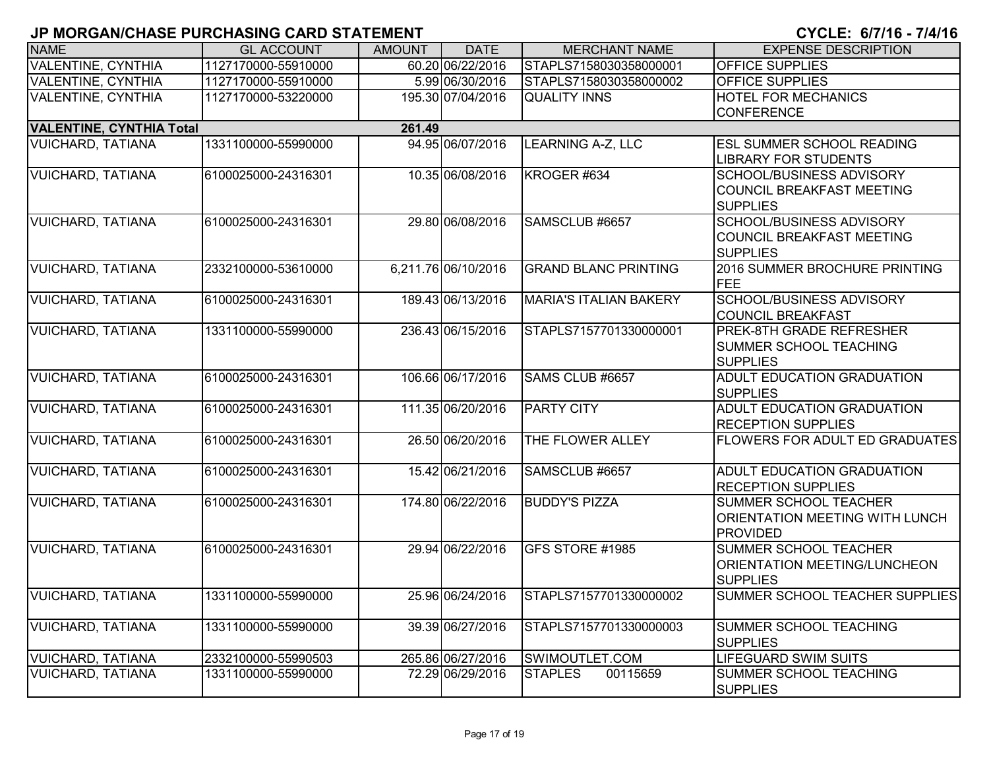| <b>NAME</b>                     | <b>GL ACCOUNT</b>   | <b>AMOUNT</b> | <b>DATE</b>         | <b>MERCHANT NAME</b>          | <b>EXPENSE DESCRIPTION</b>                                                               |
|---------------------------------|---------------------|---------------|---------------------|-------------------------------|------------------------------------------------------------------------------------------|
| <b>VALENTINE, CYNTHIA</b>       | 1127170000-55910000 |               | 60.20 06/22/2016    | STAPLS7158030358000001        | <b>OFFICE SUPPLIES</b>                                                                   |
| <b>VALENTINE, CYNTHIA</b>       | 1127170000-55910000 |               | 5.99 06/30/2016     | STAPLS7158030358000002        | <b>OFFICE SUPPLIES</b>                                                                   |
| <b>VALENTINE, CYNTHIA</b>       | 1127170000-53220000 |               | 195.30 07/04/2016   | <b>QUALITY INNS</b>           | <b>HOTEL FOR MECHANICS</b>                                                               |
|                                 |                     |               |                     |                               | <b>CONFERENCE</b>                                                                        |
| <b>VALENTINE, CYNTHIA Total</b> |                     | 261.49        |                     |                               |                                                                                          |
| <b>VUICHARD, TATIANA</b>        | 1331100000-55990000 |               | 94.95 06/07/2016    | <b>LEARNING A-Z, LLC</b>      | <b>ESL SUMMER SCHOOL READING</b><br><b>LIBRARY FOR STUDENTS</b>                          |
| <b>VUICHARD, TATIANA</b>        | 6100025000-24316301 |               | 10.35 06/08/2016    | KROGER #634                   | <b>SCHOOL/BUSINESS ADVISORY</b><br><b>COUNCIL BREAKFAST MEETING</b><br><b>SUPPLIES</b>   |
| <b>VUICHARD, TATIANA</b>        | 6100025000-24316301 |               | 29.80 06/08/2016    | SAMSCLUB #6657                | <b>SCHOOL/BUSINESS ADVISORY</b><br><b>COUNCIL BREAKFAST MEETING</b><br><b>SUPPLIES</b>   |
| <b>VUICHARD, TATIANA</b>        | 2332100000-53610000 |               | 6,211.76 06/10/2016 | <b>GRAND BLANC PRINTING</b>   | 2016 SUMMER BROCHURE PRINTING<br>FEE                                                     |
| <b>VUICHARD, TATIANA</b>        | 6100025000-24316301 |               | 189.43 06/13/2016   | <b>MARIA'S ITALIAN BAKERY</b> | <b>SCHOOL/BUSINESS ADVISORY</b><br><b>COUNCIL BREAKFAST</b>                              |
| <b>VUICHARD, TATIANA</b>        | 1331100000-55990000 |               | 236.43 06/15/2016   | STAPLS7157701330000001        | <b>PREK-8TH GRADE REFRESHER</b><br><b>SUMMER SCHOOL TEACHING</b><br><b>SUPPLIES</b>      |
| <b>VUICHARD, TATIANA</b>        | 6100025000-24316301 |               | 106.66 06/17/2016   | SAMS CLUB #6657               | <b>ADULT EDUCATION GRADUATION</b><br><b>SUPPLIES</b>                                     |
| <b>VUICHARD, TATIANA</b>        | 6100025000-24316301 |               | 111.35 06/20/2016   | <b>PARTY CITY</b>             | <b>ADULT EDUCATION GRADUATION</b><br><b>RECEPTION SUPPLIES</b>                           |
| <b>VUICHARD, TATIANA</b>        | 6100025000-24316301 |               | 26.50 06/20/2016    | THE FLOWER ALLEY              | <b>FLOWERS FOR ADULT ED GRADUATES</b>                                                    |
| <b>VUICHARD, TATIANA</b>        | 6100025000-24316301 |               | 15.42 06/21/2016    | SAMSCLUB #6657                | ADULT EDUCATION GRADUATION<br><b>RECEPTION SUPPLIES</b>                                  |
| <b>VUICHARD, TATIANA</b>        | 6100025000-24316301 |               | 174.80 06/22/2016   | <b>BUDDY'S PIZZA</b>          | <b>SUMMER SCHOOL TEACHER</b><br><b>ORIENTATION MEETING WITH LUNCH</b><br><b>PROVIDED</b> |
| <b>VUICHARD, TATIANA</b>        | 6100025000-24316301 |               | 29.94 06/22/2016    | GFS STORE #1985               | <b>SUMMER SCHOOL TEACHER</b><br>ORIENTATION MEETING/LUNCHEON<br><b>SUPPLIES</b>          |
| <b>VUICHARD, TATIANA</b>        | 1331100000-55990000 |               | 25.96 06/24/2016    | STAPLS7157701330000002        | SUMMER SCHOOL TEACHER SUPPLIES                                                           |
| <b>VUICHARD, TATIANA</b>        | 1331100000-55990000 |               | 39.39 06/27/2016    | STAPLS7157701330000003        | <b>SUMMER SCHOOL TEACHING</b><br><b>SUPPLIES</b>                                         |
| <b>VUICHARD, TATIANA</b>        | 2332100000-55990503 |               | 265.86 06/27/2016   | SWIMOUTLET.COM                | <b>LIFEGUARD SWIM SUITS</b>                                                              |
| <b>VUICHARD, TATIANA</b>        | 1331100000-55990000 |               | 72.29 06/29/2016    | <b>STAPLES</b><br>00115659    | SUMMER SCHOOL TEACHING<br><b>SUPPLIES</b>                                                |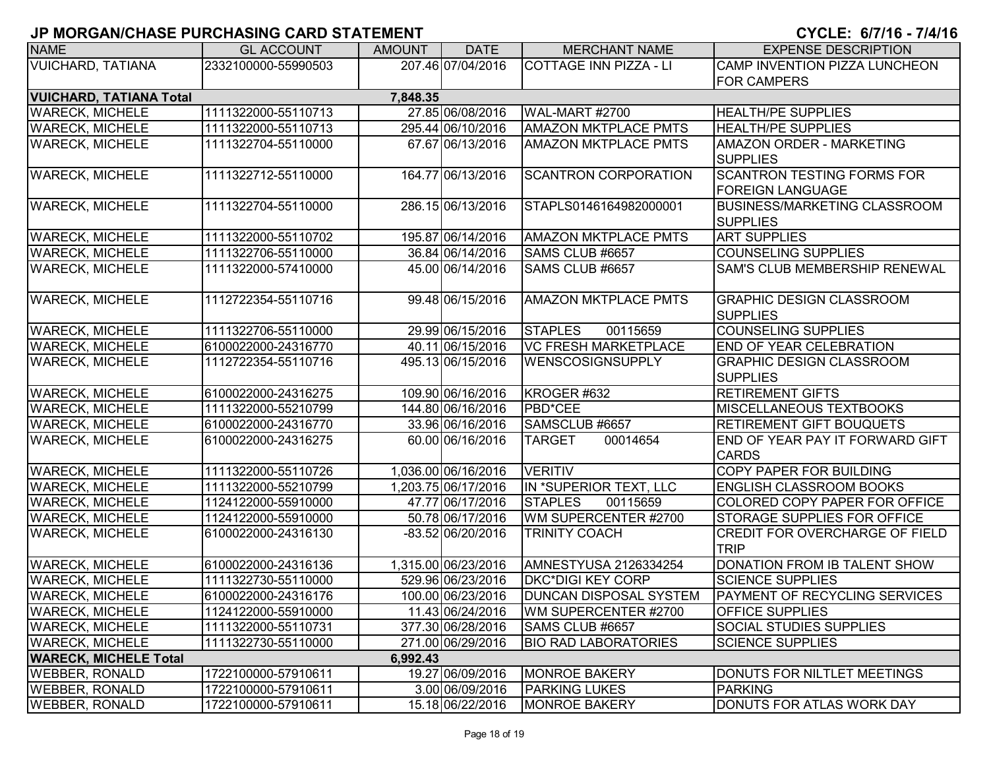| <b>NAME</b>                    | <b>GL ACCOUNT</b>   | <b>AMOUNT</b> | <b>DATE</b>         | <b>MERCHANT NAME</b>          | <b>EXPENSE DESCRIPTION</b>            |
|--------------------------------|---------------------|---------------|---------------------|-------------------------------|---------------------------------------|
| <b>VUICHARD, TATIANA</b>       | 2332100000-55990503 |               | 207.46 07/04/2016   | COTTAGE INN PIZZA - LI        | <b>CAMP INVENTION PIZZA LUNCHEON</b>  |
|                                |                     |               |                     |                               | <b>FOR CAMPERS</b>                    |
| <b>VUICHARD, TATIANA Total</b> |                     | 7,848.35      |                     |                               |                                       |
| <b>WARECK, MICHELE</b>         | 1111322000-55110713 |               | 27.85 06/08/2016    | <b>WAL-MART #2700</b>         | <b>HEALTH/PE SUPPLIES</b>             |
| <b>WARECK, MICHELE</b>         | 1111322000-55110713 |               | 295.44 06/10/2016   | <b>AMAZON MKTPLACE PMTS</b>   | <b>HEALTH/PE SUPPLIES</b>             |
| <b>WARECK, MICHELE</b>         | 1111322704-55110000 |               | 67.67 06/13/2016    | <b>AMAZON MKTPLACE PMTS</b>   | <b>AMAZON ORDER - MARKETING</b>       |
|                                |                     |               |                     |                               | <b>SUPPLIES</b>                       |
| <b>WARECK, MICHELE</b>         | 1111322712-55110000 |               | 164.77 06/13/2016   | <b>SCANTRON CORPORATION</b>   | <b>SCANTRON TESTING FORMS FOR</b>     |
|                                |                     |               |                     |                               | <b>FOREIGN LANGUAGE</b>               |
| <b>WARECK, MICHELE</b>         | 1111322704-55110000 |               | 286.15 06/13/2016   | STAPLS0146164982000001        | <b>BUSINESS/MARKETING CLASSROOM</b>   |
|                                |                     |               |                     |                               | <b>SUPPLIES</b>                       |
| <b>WARECK, MICHELE</b>         | 1111322000-55110702 |               | 195.87 06/14/2016   | <b>AMAZON MKTPLACE PMTS</b>   | <b>ART SUPPLIES</b>                   |
| <b>WARECK, MICHELE</b>         | 1111322706-55110000 |               | 36.84 06/14/2016    | SAMS CLUB #6657               | <b>COUNSELING SUPPLIES</b>            |
| <b>WARECK, MICHELE</b>         | 1111322000-57410000 |               | 45.00 06/14/2016    | SAMS CLUB #6657               | SAM'S CLUB MEMBERSHIP RENEWAL         |
|                                |                     |               |                     |                               |                                       |
| <b>WARECK, MICHELE</b>         | 1112722354-55110716 |               | 99.48 06/15/2016    | <b>AMAZON MKTPLACE PMTS</b>   | <b>GRAPHIC DESIGN CLASSROOM</b>       |
|                                |                     |               |                     |                               | <b>SUPPLIES</b>                       |
| <b>WARECK, MICHELE</b>         | 1111322706-55110000 |               | 29.99 06/15/2016    | <b>STAPLES</b><br>00115659    | <b>COUNSELING SUPPLIES</b>            |
| <b>WARECK, MICHELE</b>         | 6100022000-24316770 |               | 40.11 06/15/2016    | <b>VC FRESH MARKETPLACE</b>   | <b>END OF YEAR CELEBRATION</b>        |
| <b>WARECK, MICHELE</b>         | 1112722354-55110716 |               | 495.13 06/15/2016   | <b>WENSCOSIGNSUPPLY</b>       | <b>GRAPHIC DESIGN CLASSROOM</b>       |
|                                |                     |               |                     |                               | <b>SUPPLIES</b>                       |
| <b>WARECK, MICHELE</b>         | 6100022000-24316275 |               | 109.90 06/16/2016   | KROGER #632                   | <b>RETIREMENT GIFTS</b>               |
| <b>WARECK, MICHELE</b>         | 1111322000-55210799 |               | 144.80 06/16/2016   | PBD*CEE                       | <b>MISCELLANEOUS TEXTBOOKS</b>        |
| <b>WARECK, MICHELE</b>         | 6100022000-24316770 |               | 33.96 06/16/2016    | SAMSCLUB #6657                | <b>RETIREMENT GIFT BOUQUETS</b>       |
| <b>WARECK, MICHELE</b>         | 6100022000-24316275 |               | 60.00 06/16/2016    | 00014654<br><b>TARGET</b>     | END OF YEAR PAY IT FORWARD GIFT       |
|                                |                     |               |                     |                               | <b>CARDS</b>                          |
| <b>WARECK, MICHELE</b>         | 1111322000-55110726 |               | 1,036.00 06/16/2016 | <b>VERITIV</b>                | COPY PAPER FOR BUILDING               |
| <b>WARECK, MICHELE</b>         | 1111322000-55210799 |               | 1,203.75 06/17/2016 | IN *SUPERIOR TEXT, LLC        | <b>ENGLISH CLASSROOM BOOKS</b>        |
| <b>WARECK, MICHELE</b>         | 1124122000-55910000 |               | 47.77 06/17/2016    | <b>STAPLES</b><br>00115659    | COLORED COPY PAPER FOR OFFICE         |
| <b>WARECK, MICHELE</b>         | 1124122000-55910000 |               | 50.78 06/17/2016    | WM SUPERCENTER #2700          | <b>STORAGE SUPPLIES FOR OFFICE</b>    |
| <b>WARECK, MICHELE</b>         | 6100022000-24316130 |               | -83.52 06/20/2016   | <b>TRINITY COACH</b>          | <b>CREDIT FOR OVERCHARGE OF FIELD</b> |
|                                |                     |               |                     |                               | <b>TRIP</b>                           |
| <b>WARECK, MICHELE</b>         | 6100022000-24316136 |               | 1,315.00 06/23/2016 | AMNESTYUSA 2126334254         | DONATION FROM IB TALENT SHOW          |
| <b>WARECK, MICHELE</b>         | 1111322730-55110000 |               | 529.96 06/23/2016   | <b>DKC*DIGI KEY CORP</b>      | <b>SCIENCE SUPPLIES</b>               |
| <b>IWARECK. MICHELE</b>        | 6100022000-24316176 |               | 100.00 06/23/2016   | <b>DUNCAN DISPOSAL SYSTEM</b> | <b>PAYMENT OF RECYCLING SERVICES</b>  |
| <b>WARECK, MICHELE</b>         | 1124122000-55910000 |               | 11.43 06/24/2016    | WM SUPERCENTER #2700          | <b>OFFICE SUPPLIES</b>                |
| <b>WARECK, MICHELE</b>         | 1111322000-55110731 |               | 377.30 06/28/2016   | SAMS CLUB #6657               | SOCIAL STUDIES SUPPLIES               |
| <b>WARECK, MICHELE</b>         | 1111322730-55110000 |               | 271.00 06/29/2016   | <b>BIO RAD LABORATORIES</b>   | <b>SCIENCE SUPPLIES</b>               |
| <b>WARECK, MICHELE Total</b>   |                     | 6,992.43      |                     |                               |                                       |
| <b>WEBBER, RONALD</b>          | 1722100000-57910611 |               | 19.27 06/09/2016    | <b>MONROE BAKERY</b>          | DONUTS FOR NILTLET MEETINGS           |
| <b>WEBBER, RONALD</b>          | 1722100000-57910611 |               | 3.00 06/09/2016     | <b>PARKING LUKES</b>          | <b>PARKING</b>                        |
| <b>WEBBER, RONALD</b>          | 1722100000-57910611 |               | 15.18 06/22/2016    | <b>MONROE BAKERY</b>          | DONUTS FOR ATLAS WORK DAY             |